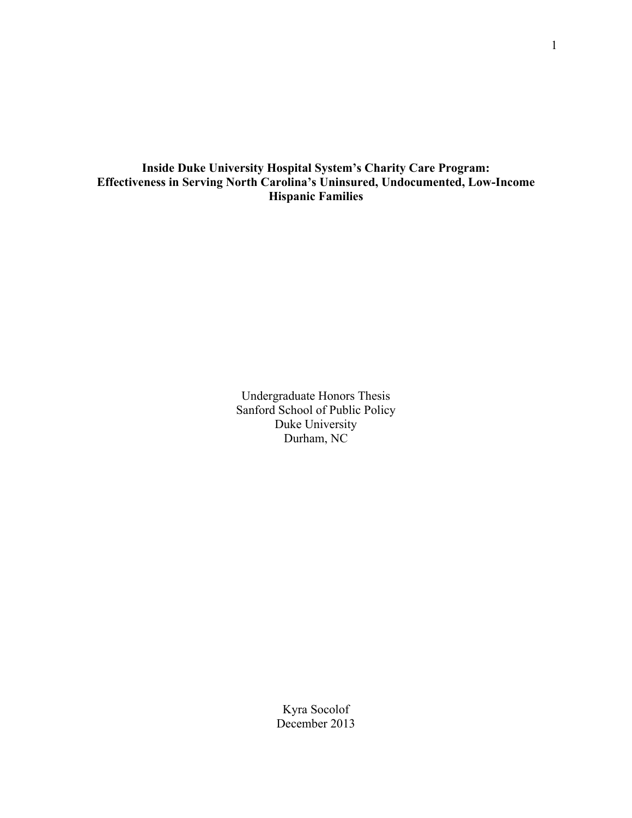# **Inside Duke University Hospital System's Charity Care Program: Effectiveness in Serving North Carolina's Uninsured, Undocumented, Low-Income Hispanic Families**

Undergraduate Honors Thesis Sanford School of Public Policy Duke University Durham, NC

> Kyra Socolof December 2013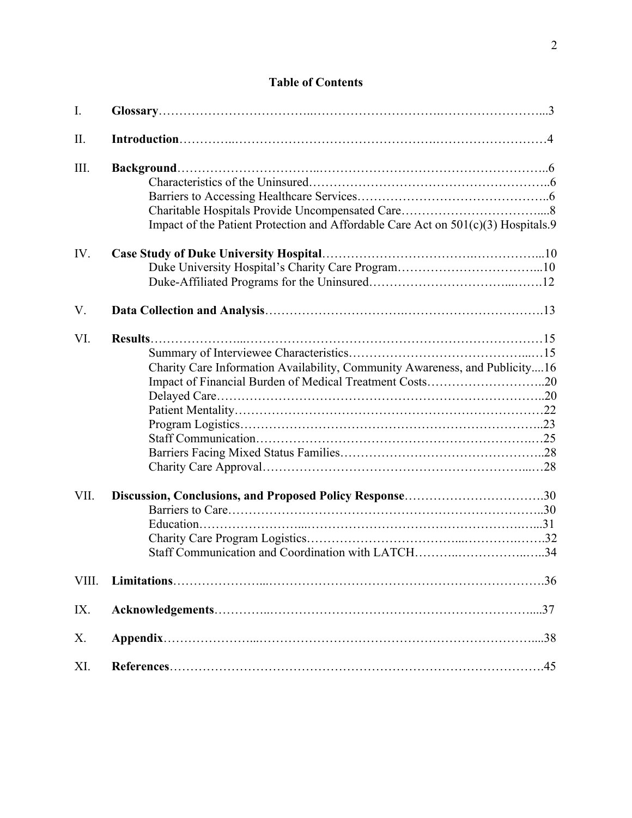# **Table of Contents**

| II.<br>III.                                                                       |  |
|-----------------------------------------------------------------------------------|--|
|                                                                                   |  |
|                                                                                   |  |
|                                                                                   |  |
|                                                                                   |  |
|                                                                                   |  |
| Impact of the Patient Protection and Affordable Care Act on 501(c)(3) Hospitals.9 |  |
| IV.                                                                               |  |
|                                                                                   |  |
|                                                                                   |  |
| V.                                                                                |  |
| VI.                                                                               |  |
|                                                                                   |  |
| Charity Care Information Availability, Community Awareness, and Publicity16       |  |
| Impact of Financial Burden of Medical Treatment Costs20                           |  |
|                                                                                   |  |
|                                                                                   |  |
|                                                                                   |  |
|                                                                                   |  |
|                                                                                   |  |
|                                                                                   |  |
| VII.<br>Discussion, Conclusions, and Proposed Policy Response30                   |  |
|                                                                                   |  |
|                                                                                   |  |
|                                                                                   |  |
| Staff Communication and Coordination with LATCH34                                 |  |
| VIII.                                                                             |  |
| IX.                                                                               |  |
| X.                                                                                |  |
| XI.                                                                               |  |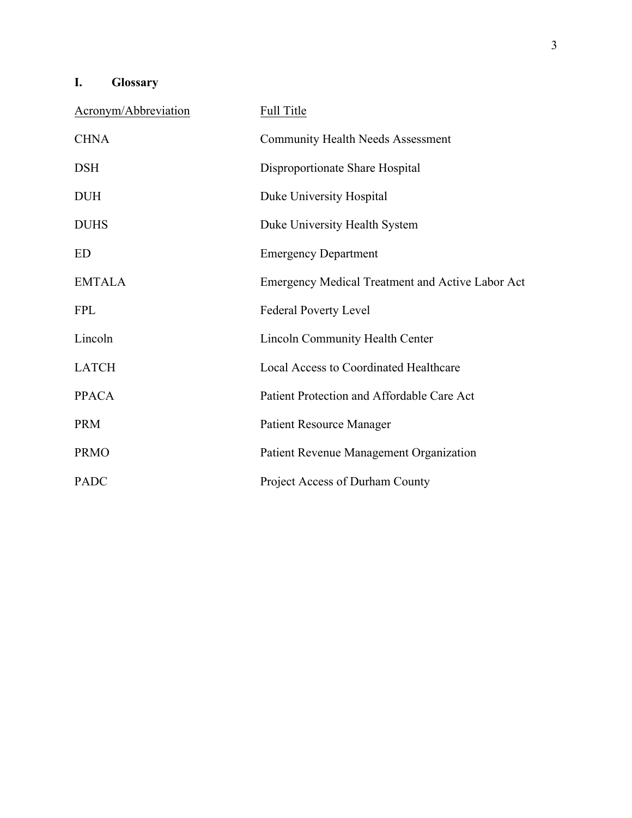# **I. Glossary**

| Acronym/Abbreviation | <b>Full Title</b>                                       |
|----------------------|---------------------------------------------------------|
| <b>CHNA</b>          | <b>Community Health Needs Assessment</b>                |
| <b>DSH</b>           | Disproportionate Share Hospital                         |
| <b>DUH</b>           | Duke University Hospital                                |
| <b>DUHS</b>          | Duke University Health System                           |
| ED                   | <b>Emergency Department</b>                             |
| <b>EMTALA</b>        | <b>Emergency Medical Treatment and Active Labor Act</b> |
| <b>FPL</b>           | <b>Federal Poverty Level</b>                            |
| Lincoln              | <b>Lincoln Community Health Center</b>                  |
| <b>LATCH</b>         | <b>Local Access to Coordinated Healthcare</b>           |
| <b>PPACA</b>         | Patient Protection and Affordable Care Act              |
| <b>PRM</b>           | <b>Patient Resource Manager</b>                         |
| <b>PRMO</b>          | Patient Revenue Management Organization                 |
| <b>PADC</b>          | Project Access of Durham County                         |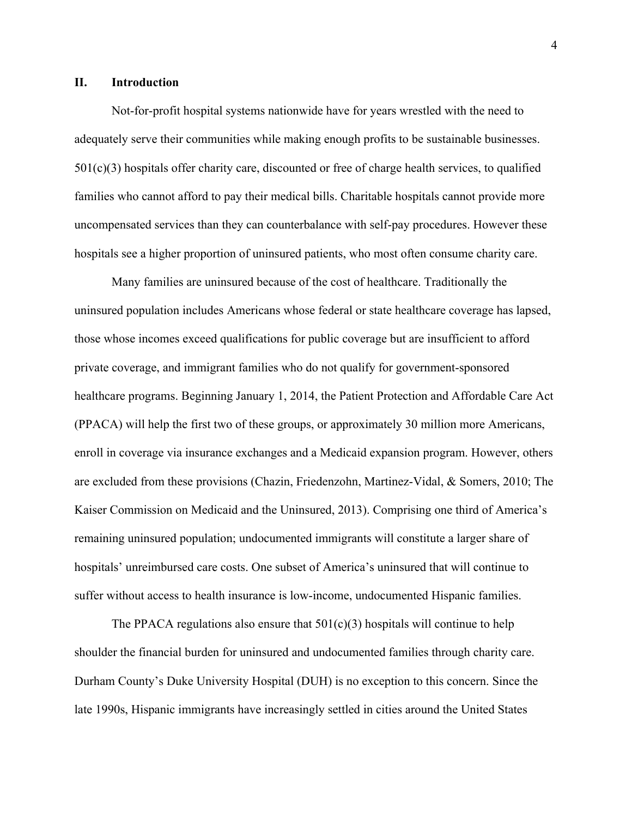# **II. Introduction**

Not-for-profit hospital systems nationwide have for years wrestled with the need to adequately serve their communities while making enough profits to be sustainable businesses.  $501(c)(3)$  hospitals offer charity care, discounted or free of charge health services, to qualified families who cannot afford to pay their medical bills. Charitable hospitals cannot provide more uncompensated services than they can counterbalance with self-pay procedures. However these hospitals see a higher proportion of uninsured patients, who most often consume charity care.

Many families are uninsured because of the cost of healthcare. Traditionally the uninsured population includes Americans whose federal or state healthcare coverage has lapsed, those whose incomes exceed qualifications for public coverage but are insufficient to afford private coverage, and immigrant families who do not qualify for government-sponsored healthcare programs. Beginning January 1, 2014, the Patient Protection and Affordable Care Act (PPACA) will help the first two of these groups, or approximately 30 million more Americans, enroll in coverage via insurance exchanges and a Medicaid expansion program. However, others are excluded from these provisions (Chazin, Friedenzohn, Martinez-Vidal, & Somers, 2010; The Kaiser Commission on Medicaid and the Uninsured, 2013). Comprising one third of America's remaining uninsured population; undocumented immigrants will constitute a larger share of hospitals' unreimbursed care costs. One subset of America's uninsured that will continue to suffer without access to health insurance is low-income, undocumented Hispanic families.

The PPACA regulations also ensure that  $501(c)(3)$  hospitals will continue to help shoulder the financial burden for uninsured and undocumented families through charity care. Durham County's Duke University Hospital (DUH) is no exception to this concern. Since the late 1990s, Hispanic immigrants have increasingly settled in cities around the United States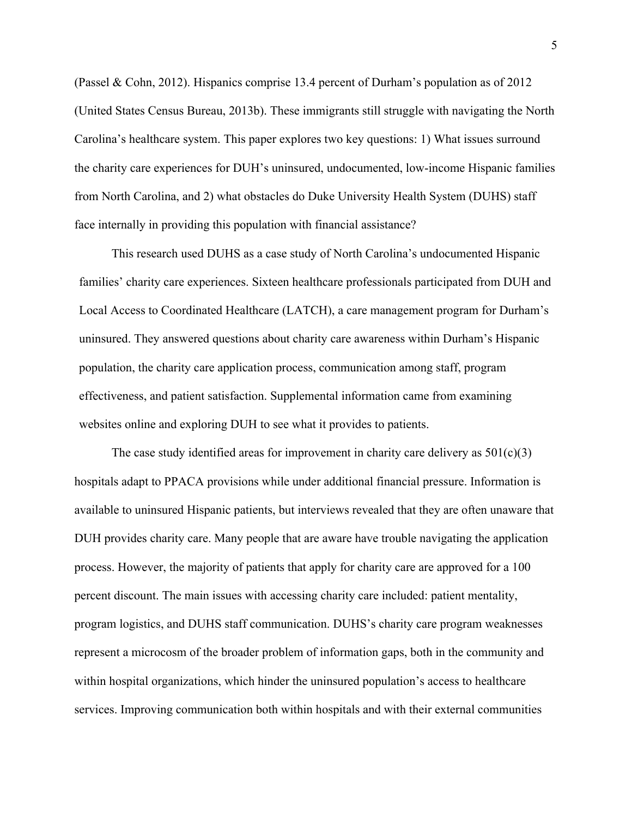(Passel & Cohn, 2012). Hispanics comprise 13.4 percent of Durham's population as of 2012 (United States Census Bureau, 2013b). These immigrants still struggle with navigating the North Carolina's healthcare system. This paper explores two key questions: 1) What issues surround the charity care experiences for DUH's uninsured, undocumented, low-income Hispanic families from North Carolina, and 2) what obstacles do Duke University Health System (DUHS) staff face internally in providing this population with financial assistance?

This research used DUHS as a case study of North Carolina's undocumented Hispanic families' charity care experiences. Sixteen healthcare professionals participated from DUH and Local Access to Coordinated Healthcare (LATCH), a care management program for Durham's uninsured. They answered questions about charity care awareness within Durham's Hispanic population, the charity care application process, communication among staff, program effectiveness, and patient satisfaction. Supplemental information came from examining websites online and exploring DUH to see what it provides to patients.

The case study identified areas for improvement in charity care delivery as  $501(c)(3)$ hospitals adapt to PPACA provisions while under additional financial pressure. Information is available to uninsured Hispanic patients, but interviews revealed that they are often unaware that DUH provides charity care. Many people that are aware have trouble navigating the application process. However, the majority of patients that apply for charity care are approved for a 100 percent discount. The main issues with accessing charity care included: patient mentality, program logistics, and DUHS staff communication. DUHS's charity care program weaknesses represent a microcosm of the broader problem of information gaps, both in the community and within hospital organizations, which hinder the uninsured population's access to healthcare services. Improving communication both within hospitals and with their external communities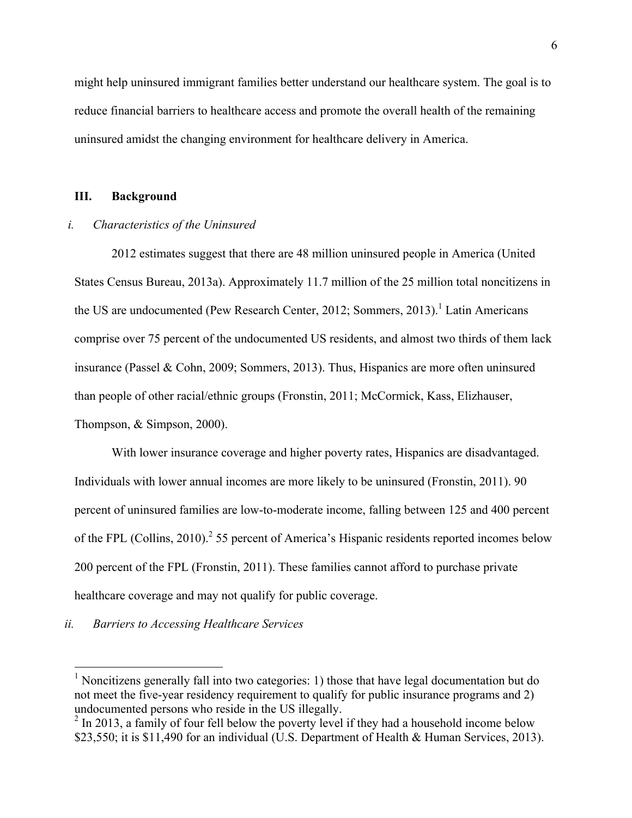might help uninsured immigrant families better understand our healthcare system. The goal is to reduce financial barriers to healthcare access and promote the overall health of the remaining uninsured amidst the changing environment for healthcare delivery in America.

## **III. Background**

#### *i. Characteristics of the Uninsured*

2012 estimates suggest that there are 48 million uninsured people in America (United States Census Bureau, 2013a). Approximately 11.7 million of the 25 million total noncitizens in the US are undocumented (Pew Research Center, 2012; Sommers, 2013).<sup>1</sup> Latin Americans comprise over 75 percent of the undocumented US residents, and almost two thirds of them lack insurance (Passel & Cohn, 2009; Sommers, 2013). Thus, Hispanics are more often uninsured than people of other racial/ethnic groups (Fronstin, 2011; McCormick, Kass, Elizhauser, Thompson, & Simpson, 2000).

With lower insurance coverage and higher poverty rates, Hispanics are disadvantaged. Individuals with lower annual incomes are more likely to be uninsured (Fronstin, 2011). 90 percent of uninsured families are low-to-moderate income, falling between 125 and 400 percent of the FPL (Collins, 2010).<sup>2</sup> 55 percent of America's Hispanic residents reported incomes below 200 percent of the FPL (Fronstin, 2011). These families cannot afford to purchase private healthcare coverage and may not qualify for public coverage.

# *ii. Barriers to Accessing Healthcare Services*

 $<sup>1</sup>$  Noncitizens generally fall into two categories: 1) those that have legal documentation but do</sup> not meet the five-year residency requirement to qualify for public insurance programs and 2) undocumented persons who reside in the US illegally.

 $2 \ln 2013$ , a family of four fell below the poverty level if they had a household income below \$23,550; it is \$11,490 for an individual (U.S. Department of Health & Human Services, 2013).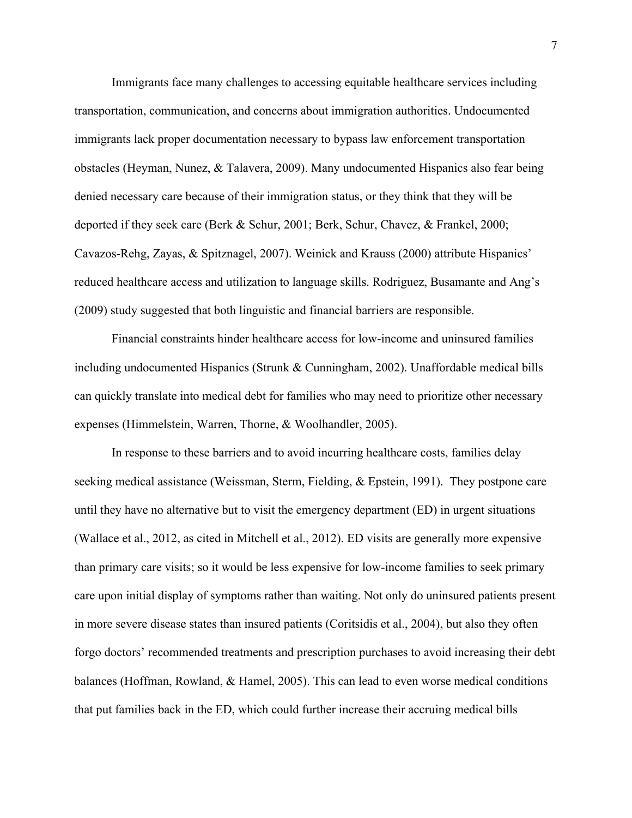Immigrants face many challenges to accessing equitable healthcare services including transportation, communication, and concerns about immigration authorities. Undocumented immigrants lack proper documentation necessary to bypass law enforcement transportation obstacles (Heyman, Nunez, & Talavera, 2009). Many undocumented Hispanics also fear being denied necessary care because of their immigration status, or they think that they will be deported if they seek care (Berk & Schur, 2001; Berk, Schur, Chavez, & Frankel, 2000; Cavazos-Rehg, Zayas, & Spitznagel, 2007). Weinick and Krauss (2000) attribute Hispanics' reduced healthcare access and utilization to language skills. Rodriguez, Busamante and Ang's (2009) study suggested that both linguistic and financial barriers are responsible.

Financial constraints hinder healthcare access for low-income and uninsured families including undocumented Hispanics (Strunk & Cunningham, 2002). Unaffordable medical bills can quickly translate into medical debt for families who may need to prioritize other necessary expenses (Himmelstein, Warren, Thorne, & Woolhandler, 2005).

In response to these barriers and to avoid incurring healthcare costs, families delay seeking medical assistance (Weissman, Sterm, Fielding, & Epstein, 1991). They postpone care until they have no alternative but to visit the emergency department (ED) in urgent situations (Wallace et al., 2012, as cited in Mitchell et al., 2012). ED visits are generally more expensive than primary care visits; so it would be less expensive for low-income families to seek primary care upon initial display of symptoms rather than waiting. Not only do uninsured patients present in more severe disease states than insured patients (Coritsidis et al., 2004), but also they often forgo doctors' recommended treatments and prescription purchases to avoid increasing their debt balances (Hoffman, Rowland, & Hamel, 2005). This can lead to even worse medical conditions that put families back in the ED, which could further increase their accruing medical bills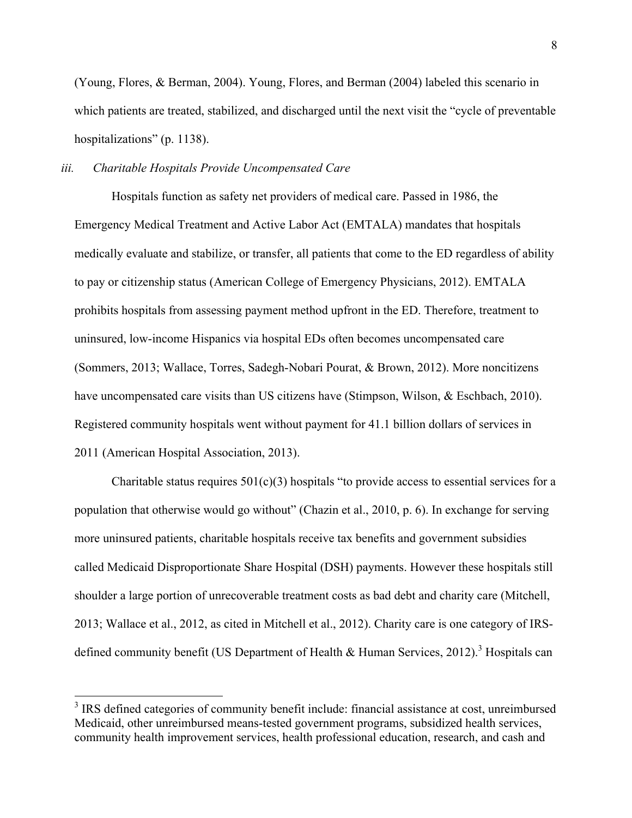(Young, Flores, & Berman, 2004). Young, Flores, and Berman (2004) labeled this scenario in which patients are treated, stabilized, and discharged until the next visit the "cycle of preventable hospitalizations" (p. 1138).

## *iii. Charitable Hospitals Provide Uncompensated Care*

Hospitals function as safety net providers of medical care. Passed in 1986, the Emergency Medical Treatment and Active Labor Act (EMTALA) mandates that hospitals medically evaluate and stabilize, or transfer, all patients that come to the ED regardless of ability to pay or citizenship status (American College of Emergency Physicians, 2012). EMTALA prohibits hospitals from assessing payment method upfront in the ED. Therefore, treatment to uninsured, low-income Hispanics via hospital EDs often becomes uncompensated care (Sommers, 2013; Wallace, Torres, Sadegh-Nobari Pourat, & Brown, 2012). More noncitizens have uncompensated care visits than US citizens have (Stimpson, Wilson, & Eschbach, 2010). Registered community hospitals went without payment for 41.1 billion dollars of services in 2011 (American Hospital Association, 2013).

Charitable status requires  $501(c)(3)$  hospitals "to provide access to essential services for a population that otherwise would go without" (Chazin et al., 2010, p. 6). In exchange for serving more uninsured patients, charitable hospitals receive tax benefits and government subsidies called Medicaid Disproportionate Share Hospital (DSH) payments. However these hospitals still shoulder a large portion of unrecoverable treatment costs as bad debt and charity care (Mitchell, 2013; Wallace et al., 2012, as cited in Mitchell et al., 2012). Charity care is one category of IRSdefined community benefit (US Department of Health  $\&$  Human Services, 2012).<sup>3</sup> Hospitals can

<sup>&</sup>lt;sup>3</sup> IRS defined categories of community benefit include: financial assistance at cost, unreimbursed Medicaid, other unreimbursed means-tested government programs, subsidized health services, community health improvement services, health professional education, research, and cash and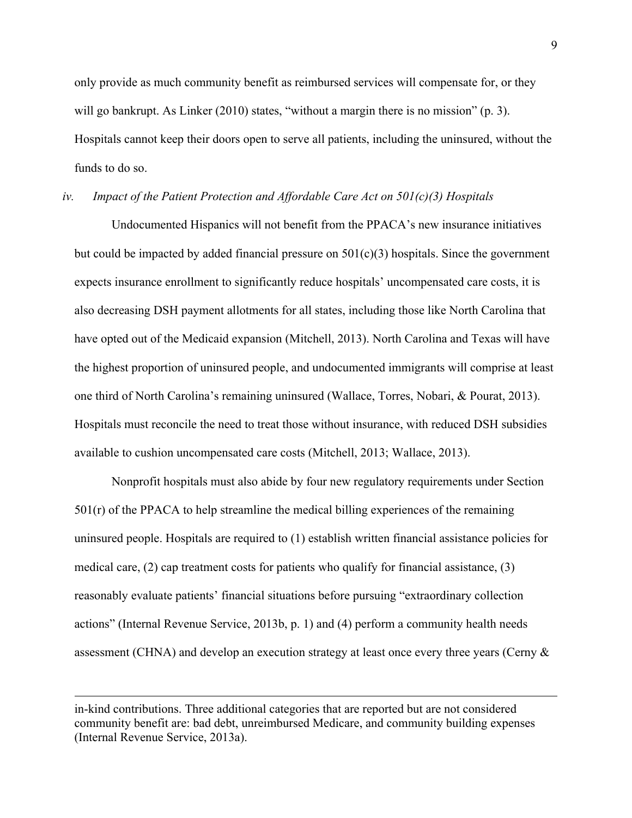only provide as much community benefit as reimbursed services will compensate for, or they will go bankrupt. As Linker (2010) states, "without a margin there is no mission" (p. 3). Hospitals cannot keep their doors open to serve all patients, including the uninsured, without the funds to do so.

#### *iv. Impact of the Patient Protection and Affordable Care Act on 501(c)(3) Hospitals*

Undocumented Hispanics will not benefit from the PPACA's new insurance initiatives but could be impacted by added financial pressure on  $501(c)(3)$  hospitals. Since the government expects insurance enrollment to significantly reduce hospitals' uncompensated care costs, it is also decreasing DSH payment allotments for all states, including those like North Carolina that have opted out of the Medicaid expansion (Mitchell, 2013). North Carolina and Texas will have the highest proportion of uninsured people, and undocumented immigrants will comprise at least one third of North Carolina's remaining uninsured (Wallace, Torres, Nobari, & Pourat, 2013). Hospitals must reconcile the need to treat those without insurance, with reduced DSH subsidies available to cushion uncompensated care costs (Mitchell, 2013; Wallace, 2013).

Nonprofit hospitals must also abide by four new regulatory requirements under Section  $501(r)$  of the PPACA to help streamline the medical billing experiences of the remaining uninsured people. Hospitals are required to (1) establish written financial assistance policies for medical care,  $(2)$  cap treatment costs for patients who qualify for financial assistance,  $(3)$ reasonably evaluate patients' financial situations before pursuing "extraordinary collection actions" (Internal Revenue Service, 2013b, p. 1) and (4) perform a community health needs assessment (CHNA) and develop an execution strategy at least once every three years (Cerny &

!!!!!!!!!!!!!!!!!!!!!!!!!!!!!!!!!!!!!!!!!!!!!!!!!!!!!!!!!!!!!!!!!!!!!!!!!!!!!!!!!!!!!!!!!!!!!!!!!!!!!!!!!!!!!!!!!!!!!!!!!!!!!!!!!!!!!!!!!!!!!!!!!!!!!!!!!!!!!!!!!!!!!!!!!!!!!!!!!!

in-kind contributions. Three additional categories that are reported but are not considered community benefit are: bad debt, unreimbursed Medicare, and community building expenses (Internal Revenue Service, 2013a).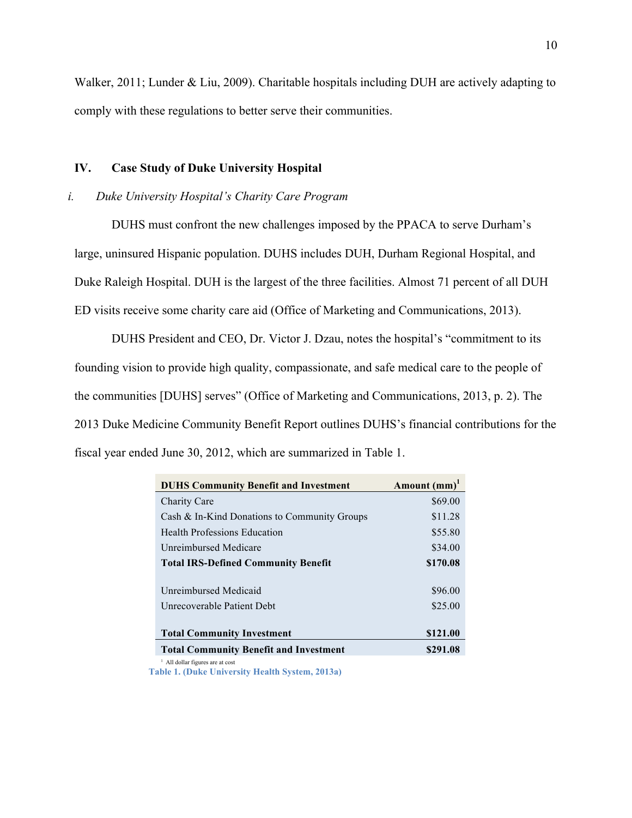Walker, 2011; Lunder & Liu, 2009). Charitable hospitals including DUH are actively adapting to comply with these regulations to better serve their communities.

## **IV. Case Study of Duke University Hospital**

#### *i. Duke University Hospital's Charity Care Program*

DUHS must confront the new challenges imposed by the PPACA to serve Durham's large, uninsured Hispanic population. DUHS includes DUH, Durham Regional Hospital, and Duke Raleigh Hospital. DUH is the largest of the three facilities. Almost 71 percent of all DUH ED visits receive some charity care aid (Office of Marketing and Communications, 2013).

DUHS President and CEO, Dr. Victor J. Dzau, notes the hospital's "commitment to its founding vision to provide high quality, compassionate, and safe medical care to the people of the communities [DUHS] serves" (Office of Marketing and Communications, 2013, p. 2). The 2013 Duke Medicine Community Benefit Report outlines DUHS's financial contributions for the fiscal year ended June 30, 2012, which are summarized in Table 1.

| <b>DUHS Community Benefit and Investment</b>  | Amount $(mm)^1$ |
|-----------------------------------------------|-----------------|
| Charity Care                                  | \$69.00         |
| Cash & In-Kind Donations to Community Groups  | \$11.28         |
| <b>Health Professions Education</b>           | \$55.80         |
| Unreimbursed Medicare                         | \$34.00         |
| <b>Total IRS-Defined Community Benefit</b>    | \$170.08        |
|                                               |                 |
| Unreimbursed Medicaid                         | \$96.00         |
| Unrecoverable Patient Debt                    | \$25.00         |
|                                               |                 |
| <b>Total Community Investment</b>             | \$121.00        |
| <b>Total Community Benefit and Investment</b> | \$291.08        |

<sup>1</sup> All dollar figures are at cost

**Table 1. (Duke University Health System, 2013a)**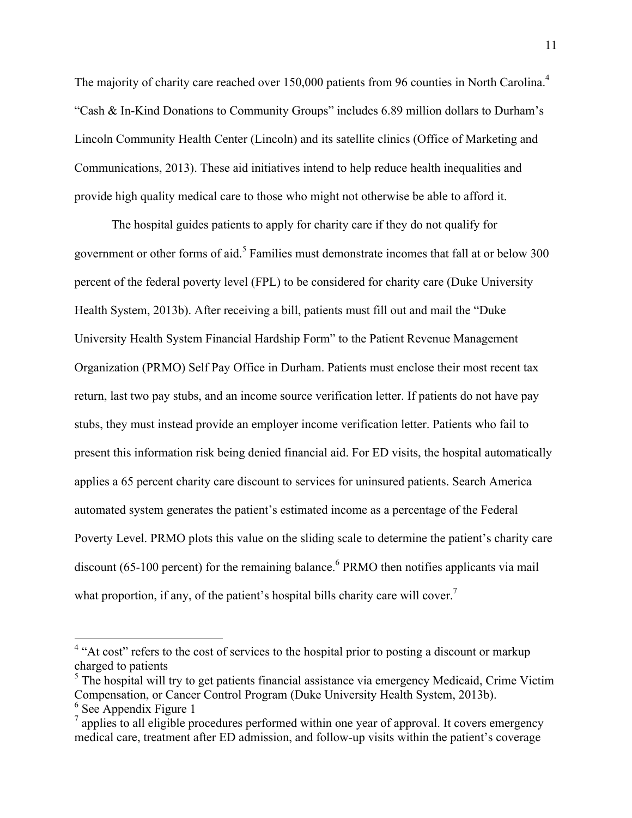The majority of charity care reached over 150,000 patients from 96 counties in North Carolina.<sup>4</sup> "Cash & In-Kind Donations to Community Groups" includes 6.89 million dollars to Durham's Lincoln Community Health Center (Lincoln) and its satellite clinics (Office of Marketing and Communications, 2013). These aid initiatives intend to help reduce health inequalities and provide high quality medical care to those who might not otherwise be able to afford it.

The hospital guides patients to apply for charity care if they do not qualify for government or other forms of aid.<sup>5</sup> Families must demonstrate incomes that fall at or below 300 percent of the federal poverty level (FPL) to be considered for charity care (Duke University Health System, 2013b). After receiving a bill, patients must fill out and mail the "Duke University Health System Financial Hardship Form" to the Patient Revenue Management Organization (PRMO) Self Pay Office in Durham. Patients must enclose their most recent tax return, last two pay stubs, and an income source verification letter. If patients do not have pay stubs, they must instead provide an employer income verification letter. Patients who fail to present this information risk being denied financial aid. For ED visits, the hospital automatically applies a 65 percent charity care discount to services for uninsured patients. Search America automated system generates the patient's estimated income as a percentage of the Federal Poverty Level. PRMO plots this value on the sliding scale to determine the patient's charity care discount (65-100 percent) for the remaining balance. <sup>6</sup> PRMO then notifies applicants via mail what proportion, if any, of the patient's hospital bills charity care will cover.<sup>7</sup>

 $6$  See Appendix Figure 1

<sup>&</sup>lt;sup>4</sup> "At cost" refers to the cost of services to the hospital prior to posting a discount or markup charged to patients

 $<sup>5</sup>$  The hospital will try to get patients financial assistance via emergency Medicaid, Crime Victim</sup> Compensation, or Cancer Control Program (Duke University Health System, 2013b).

 $<sup>7</sup>$  applies to all eligible procedures performed within one year of approval. It covers emergency</sup> medical care, treatment after ED admission, and follow-up visits within the patient's coverage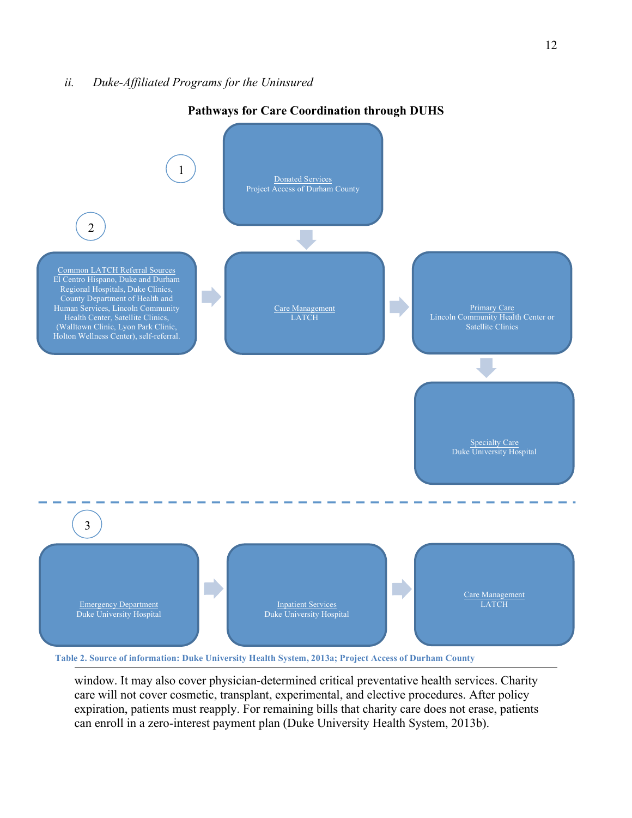

# **Pathways for Care Coordination through DUHS**

Table 2. Source of information: Duke University Health System, 2013a; Project Access of Durham County

window. It may also cover physician-determined critical preventative health services. Charity care will not cover cosmetic, transplant, experimental, and elective procedures. After policy expiration, patients must reapply. For remaining bills that charity care does not erase, patients can enroll in a zero-interest payment plan (Duke University Health System, 2013b).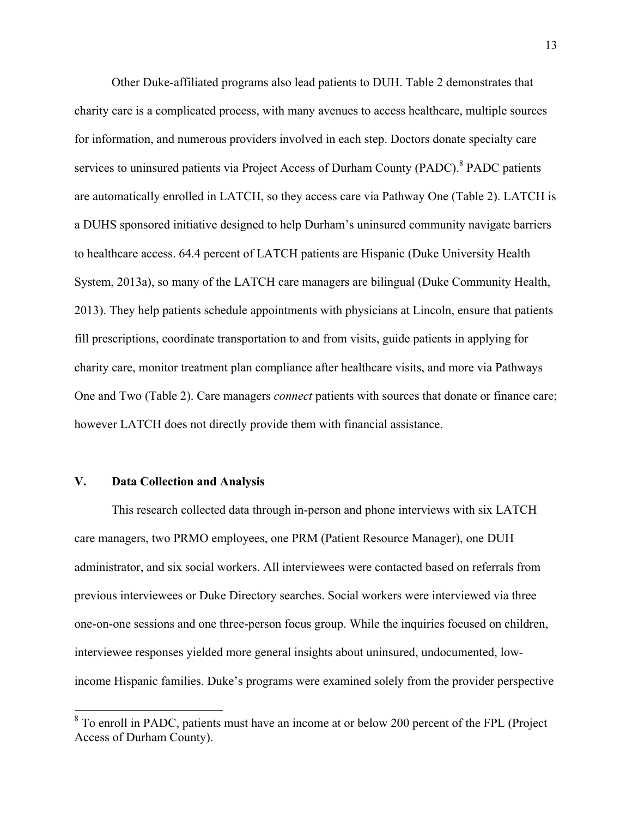Other Duke-affiliated programs also lead patients to DUH. Table 2 demonstrates that charity care is a complicated process, with many avenues to access healthcare, multiple sources for information, and numerous providers involved in each step. Doctors donate specialty care services to uninsured patients via Project Access of Durham County (PADC).<sup>8</sup> PADC patients are automatically enrolled in LATCH, so they access care via Pathway One (Table 2). LATCH is a DUHS sponsored initiative designed to help Durham's uninsured community navigate barriers to healthcare access. 64.4 percent of LATCH patients are Hispanic (Duke University Health System, 2013a), so many of the LATCH care managers are bilingual (Duke Community Health, 2013). They help patients schedule appointments with physicians at Lincoln, ensure that patients fill prescriptions, coordinate transportation to and from visits, guide patients in applying for charity care, monitor treatment plan compliance after healthcare visits, and more via Pathways One and Two (Table 2). Care managers *connect* patients with sources that donate or finance care; however LATCH does not directly provide them with financial assistance.

#### **V. Data Collection and Analysis**

This research collected data through in-person and phone interviews with six LATCH care managers, two PRMO employees, one PRM (Patient Resource Manager), one DUH administrator, and six social workers. All interviewees were contacted based on referrals from previous interviewees or Duke Directory searches. Social workers were interviewed via three one-on-one sessions and one three-person focus group. While the inquiries focused on children, interviewee responses yielded more general insights about uninsured, undocumented, lowincome Hispanic families. Duke's programs were examined solely from the provider perspective

<sup>&</sup>lt;sup>8</sup> To enroll in PADC, patients must have an income at or below 200 percent of the FPL (Project Access of Durham County).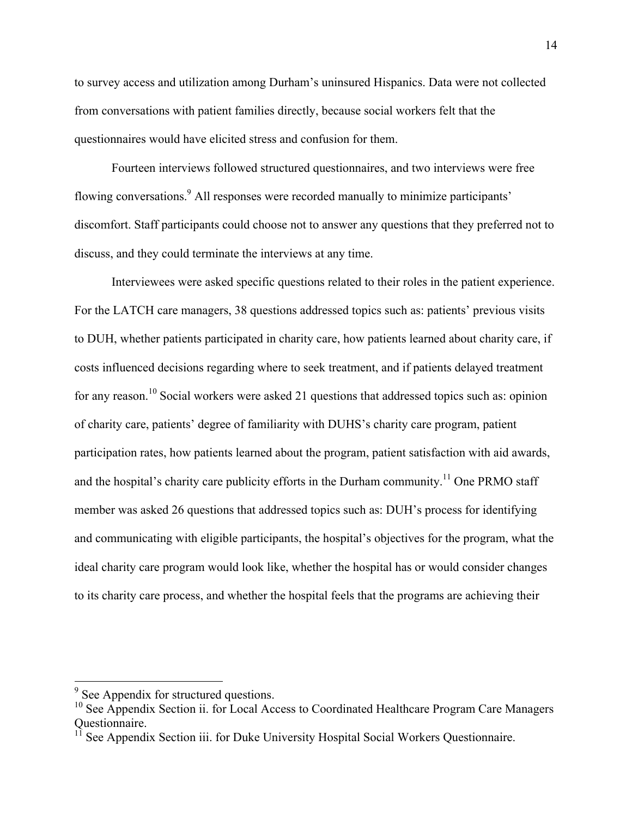to survey access and utilization among Durham's uninsured Hispanics. Data were not collected from conversations with patient families directly, because social workers felt that the questionnaires would have elicited stress and confusion for them.

Fourteen interviews followed structured questionnaires, and two interviews were free flowing conversations.<sup>9</sup> All responses were recorded manually to minimize participants' discomfort. Staff participants could choose not to answer any questions that they preferred not to discuss, and they could terminate the interviews at any time.

Interviewees were asked specific questions related to their roles in the patient experience. For the LATCH care managers, 38 questions addressed topics such as: patients' previous visits to DUH, whether patients participated in charity care, how patients learned about charity care, if costs influenced decisions regarding where to seek treatment, and if patients delayed treatment for any reason.<sup>10</sup> Social workers were asked 21 questions that addressed topics such as: opinion of charity care, patients' degree of familiarity with DUHS's charity care program, patient participation rates, how patients learned about the program, patient satisfaction with aid awards, and the hospital's charity care publicity efforts in the Durham community.<sup>11</sup> One PRMO staff member was asked 26 questions that addressed topics such as: DUH's process for identifying and communicating with eligible participants, the hospital's objectives for the program, what the ideal charity care program would look like, whether the hospital has or would consider changes to its charity care process, and whether the hospital feels that the programs are achieving their

<sup>&</sup>lt;sup>9</sup> See Appendix for structured questions.

 $10$  See Appendix Section ii. for Local Access to Coordinated Healthcare Program Care Managers Questionnaire.

<sup>&</sup>lt;sup>11</sup> See Appendix Section iii. for Duke University Hospital Social Workers Questionnaire.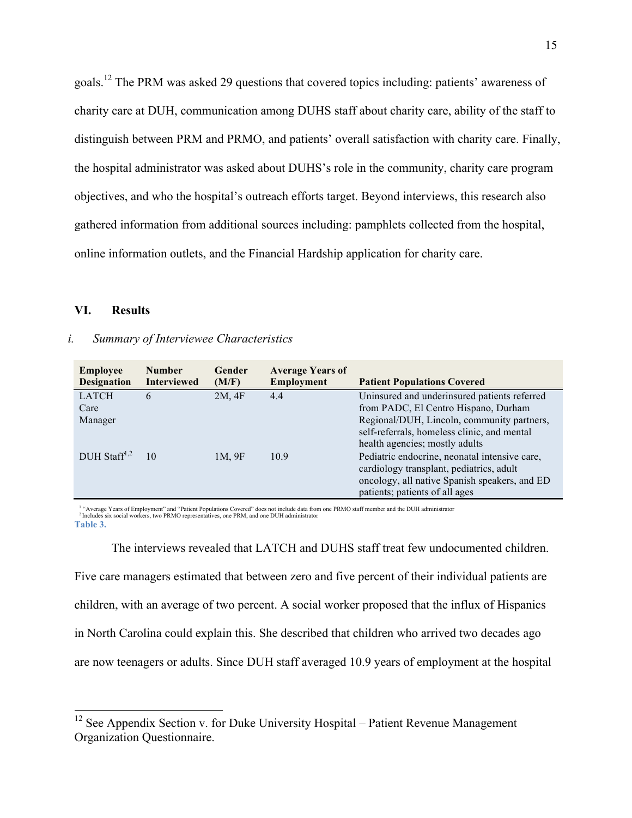goals.12 The PRM was asked 29 questions that covered topics including: patients' awareness of charity care at DUH, communication among DUHS staff about charity care, ability of the staff to distinguish between PRM and PRMO, and patients' overall satisfaction with charity care. Finally, the hospital administrator was asked about DUHS's role in the community, charity care program objectives, and who the hospital's outreach efforts target. Beyond interviews, this research also gathered information from additional sources including: pamphlets collected from the hospital, online information outlets, and the Financial Hardship application for charity care.

## **VI. Results**

#### *i. Summary of Interviewee Characteristics*

| <b>Employee</b><br><b>Designation</b> | <b>Number</b><br><b>Interviewed</b> | <b>Gender</b><br>(M/F) | <b>Average Years of</b><br><b>Employment</b> | <b>Patient Populations Covered</b>                                                                                                                                                                                  |
|---------------------------------------|-------------------------------------|------------------------|----------------------------------------------|---------------------------------------------------------------------------------------------------------------------------------------------------------------------------------------------------------------------|
| <b>LATCH</b><br>Care<br>Manager       | 6                                   | 2M, 4F                 | 4.4                                          | Uninsured and underinsured patients referred<br>from PADC, El Centro Hispano, Durham<br>Regional/DUH, Lincoln, community partners,<br>self-referrals, homeless clinic, and mental<br>health agencies; mostly adults |
| $DUH$ Staff <sup>1,2</sup>            | 10                                  | 1M, 9F                 | 10.9                                         | Pediatric endocrine, neonatal intensive care,<br>cardiology transplant, pediatrics, adult<br>oncology, all native Spanish speakers, and ED<br>patients; patients of all ages                                        |

<sup>1</sup> "Average Years of Employment" and "Patient Populations Covered" does not include data from one PRMO staff member and the DUH administrator <sup>2</sup> Includes six social workers, two PRMO representatives, one PRM, and one DUH **Table 3.** 

The interviews revealed that LATCH and DUHS staff treat few undocumented children. Five care managers estimated that between zero and five percent of their individual patients are children, with an average of two percent. A social worker proposed that the influx of Hispanics in North Carolina could explain this. She described that children who arrived two decades ago are now teenagers or adults. Since DUH staff averaged 10.9 years of employment at the hospital

<sup>&</sup>lt;sup>12</sup> See Appendix Section v. for Duke University Hospital – Patient Revenue Management Organization Questionnaire.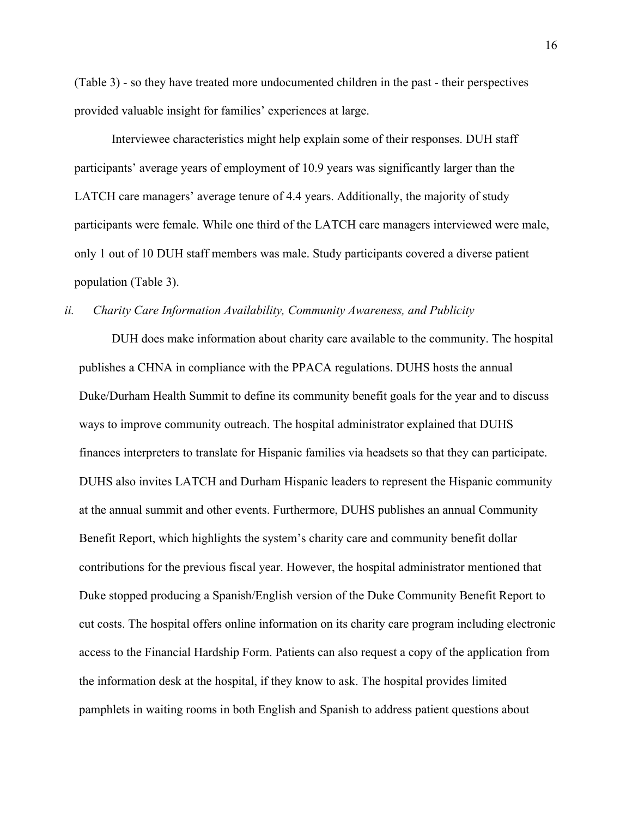(Table 3) - so they have treated more undocumented children in the past - their perspectives provided valuable insight for families' experiences at large.

Interviewee characteristics might help explain some of their responses. DUH staff participants' average years of employment of 10.9 years was significantly larger than the LATCH care managers' average tenure of 4.4 years. Additionally, the majority of study participants were female. While one third of the LATCH care managers interviewed were male, only 1 out of 10 DUH staff members was male. Study participants covered a diverse patient population (Table 3).

#### *ii. Charity Care Information Availability, Community Awareness, and Publicity*

DUH does make information about charity care available to the community. The hospital publishes a CHNA in compliance with the PPACA regulations. DUHS hosts the annual Duke/Durham Health Summit to define its community benefit goals for the year and to discuss ways to improve community outreach. The hospital administrator explained that DUHS finances interpreters to translate for Hispanic families via headsets so that they can participate. DUHS also invites LATCH and Durham Hispanic leaders to represent the Hispanic community at the annual summit and other events. Furthermore, DUHS publishes an annual Community Benefit Report, which highlights the system's charity care and community benefit dollar contributions for the previous fiscal year. However, the hospital administrator mentioned that Duke stopped producing a Spanish/English version of the Duke Community Benefit Report to cut costs. The hospital offers online information on its charity care program including electronic access to the Financial Hardship Form. Patients can also request a copy of the application from the information desk at the hospital, if they know to ask. The hospital provides limited pamphlets in waiting rooms in both English and Spanish to address patient questions about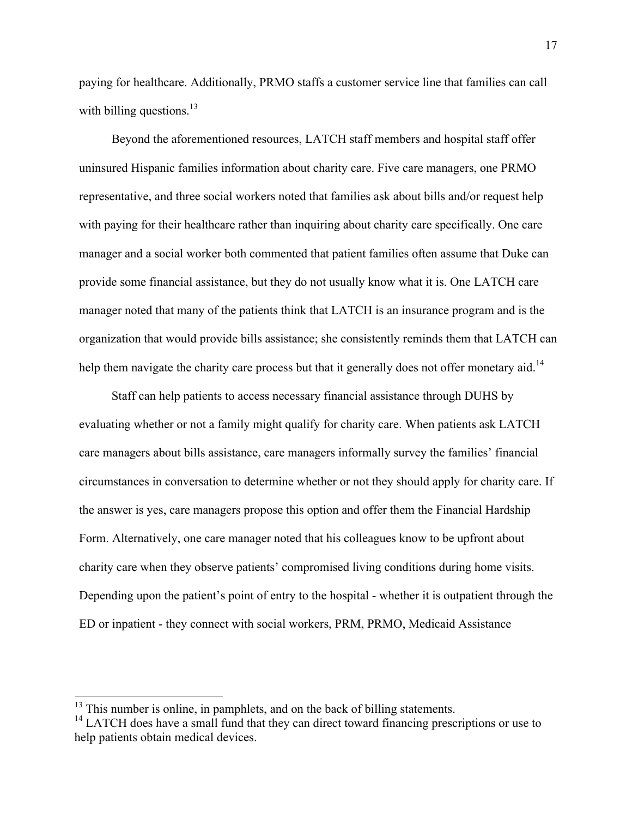paying for healthcare. Additionally, PRMO staffs a customer service line that families can call with billing questions. $13$ 

Beyond the aforementioned resources, LATCH staff members and hospital staff offer uninsured Hispanic families information about charity care. Five care managers, one PRMO representative, and three social workers noted that families ask about bills and/or request help with paying for their healthcare rather than inquiring about charity care specifically. One care manager and a social worker both commented that patient families often assume that Duke can provide some financial assistance, but they do not usually know what it is. One LATCH care manager noted that many of the patients think that LATCH is an insurance program and is the organization that would provide bills assistance; she consistently reminds them that LATCH can help them navigate the charity care process but that it generally does not offer monetary aid.<sup>14</sup>

Staff can help patients to access necessary financial assistance through DUHS by evaluating whether or not a family might qualify for charity care. When patients ask LATCH care managers about bills assistance, care managers informally survey the families' financial circumstances in conversation to determine whether or not they should apply for charity care. If the answer is yes, care managers propose this option and offer them the Financial Hardship Form. Alternatively, one care manager noted that his colleagues know to be upfront about charity care when they observe patients' compromised living conditions during home visits. Depending upon the patient's point of entry to the hospital - whether it is outpatient through the ED or inpatient - they connect with social workers, PRM, PRMO, Medicaid Assistance

 $13$  This number is online, in pamphlets, and on the back of billing statements.

<sup>&</sup>lt;sup>14</sup> LATCH does have a small fund that they can direct toward financing prescriptions or use to help patients obtain medical devices.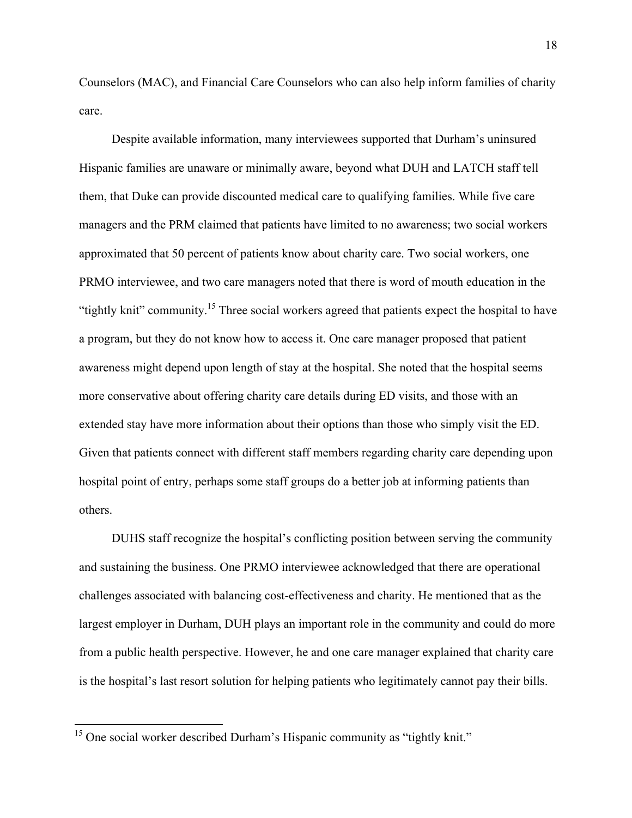Counselors (MAC), and Financial Care Counselors who can also help inform families of charity care.

Despite available information, many interviewees supported that Durham's uninsured Hispanic families are unaware or minimally aware, beyond what DUH and LATCH staff tell them, that Duke can provide discounted medical care to qualifying families. While five care managers and the PRM claimed that patients have limited to no awareness; two social workers approximated that 50 percent of patients know about charity care. Two social workers, one PRMO interviewee, and two care managers noted that there is word of mouth education in the "tightly knit" community.<sup>15</sup> Three social workers agreed that patients expect the hospital to have a program, but they do not know how to access it. One care manager proposed that patient awareness might depend upon length of stay at the hospital. She noted that the hospital seems more conservative about offering charity care details during ED visits, and those with an extended stay have more information about their options than those who simply visit the ED. Given that patients connect with different staff members regarding charity care depending upon hospital point of entry, perhaps some staff groups do a better job at informing patients than others.

DUHS staff recognize the hospital's conflicting position between serving the community and sustaining the business. One PRMO interviewee acknowledged that there are operational challenges associated with balancing cost-effectiveness and charity. He mentioned that as the largest employer in Durham, DUH plays an important role in the community and could do more from a public health perspective. However, he and one care manager explained that charity care is the hospital's last resort solution for helping patients who legitimately cannot pay their bills.

 $15$  One social worker described Durham's Hispanic community as "tightly knit."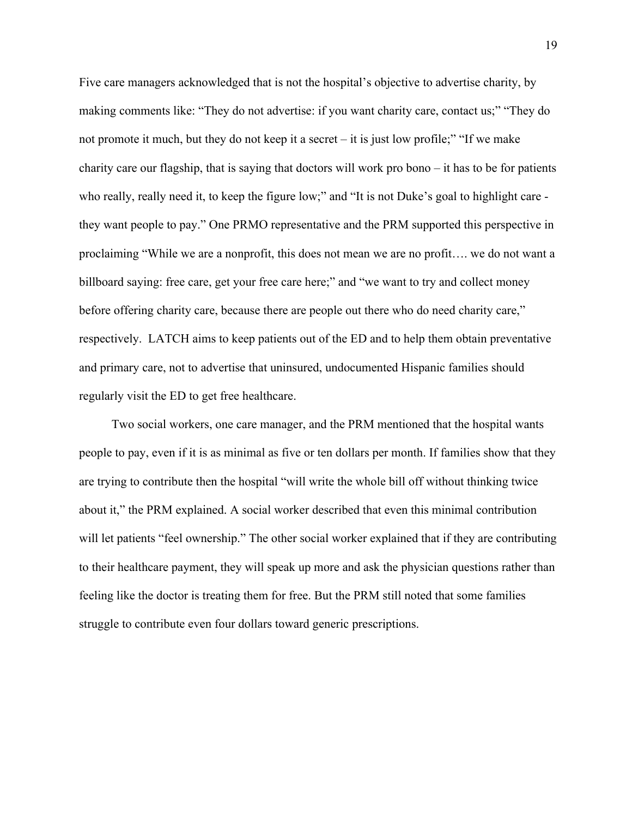Five care managers acknowledged that is not the hospital's objective to advertise charity, by making comments like: "They do not advertise: if you want charity care, contact us;" "They do not promote it much, but they do not keep it a secret – it is just low profile;" "If we make charity care our flagship, that is saying that doctors will work pro bono – it has to be for patients who really, really need it, to keep the figure low;" and "It is not Duke's goal to highlight care they want people to pay." One PRMO representative and the PRM supported this perspective in proclaiming "While we are a nonprofit, this does not mean we are no profit…. we do not want a billboard saying: free care, get your free care here;" and "we want to try and collect money before offering charity care, because there are people out there who do need charity care," respectively. LATCH aims to keep patients out of the ED and to help them obtain preventative and primary care, not to advertise that uninsured, undocumented Hispanic families should regularly visit the ED to get free healthcare.

Two social workers, one care manager, and the PRM mentioned that the hospital wants people to pay, even if it is as minimal as five or ten dollars per month. If families show that they are trying to contribute then the hospital "will write the whole bill off without thinking twice about it," the PRM explained. A social worker described that even this minimal contribution will let patients "feel ownership." The other social worker explained that if they are contributing to their healthcare payment, they will speak up more and ask the physician questions rather than feeling like the doctor is treating them for free. But the PRM still noted that some families struggle to contribute even four dollars toward generic prescriptions.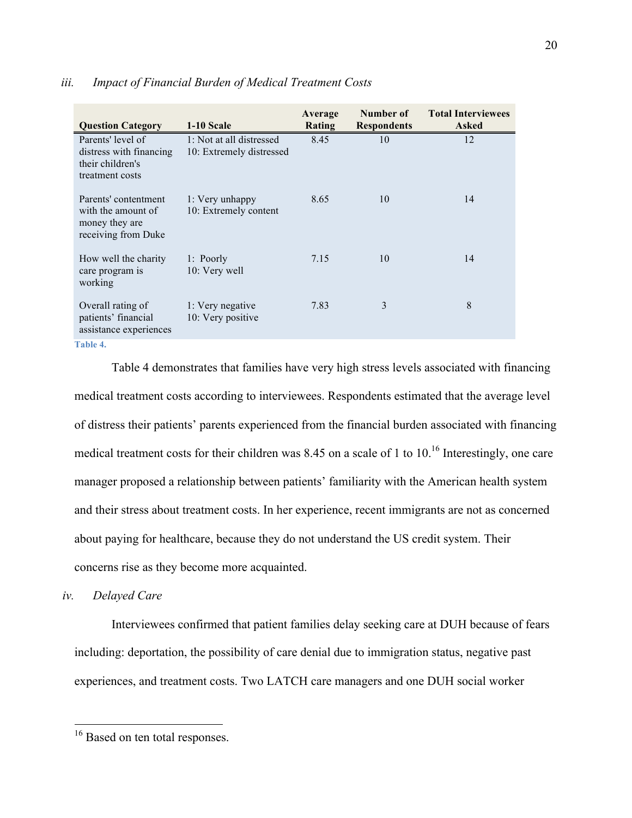| <b>Question Category</b>                                                            | 1-10 Scale                                           | Average<br>Rating | Number of<br><b>Respondents</b> | <b>Total Interviewees</b><br><b>Asked</b> |
|-------------------------------------------------------------------------------------|------------------------------------------------------|-------------------|---------------------------------|-------------------------------------------|
| Parents' level of<br>distress with financing<br>their children's<br>treatment costs | 1: Not at all distressed<br>10: Extremely distressed | 8.45              | 10                              | 12                                        |
| Parents' contentment<br>with the amount of<br>money they are<br>receiving from Duke | 1: Very unhappy<br>10: Extremely content             | 8.65              | 10                              | 14                                        |
| How well the charity<br>care program is<br>working                                  | 1: Poorly<br>10: Very well                           | 7.15              | 10                              | 14                                        |
| Overall rating of<br>patients' financial<br>assistance experiences<br>$T = 1.1 - 4$ | 1: Very negative<br>10: Very positive                | 7.83              | 3                               | 8                                         |

#### *iii. Impact of Financial Burden of Medical Treatment Costs*

**Table 4.** 

Table 4 demonstrates that families have very high stress levels associated with financing medical treatment costs according to interviewees. Respondents estimated that the average level of distress their patients' parents experienced from the financial burden associated with financing medical treatment costs for their children was 8.45 on a scale of 1 to 10.<sup>16</sup> Interestingly, one care manager proposed a relationship between patients' familiarity with the American health system and their stress about treatment costs. In her experience, recent immigrants are not as concerned about paying for healthcare, because they do not understand the US credit system. Their concerns rise as they become more acquainted.

## *iv. Delayed Care*

Interviewees confirmed that patient families delay seeking care at DUH because of fears including: deportation, the possibility of care denial due to immigration status, negative past experiences, and treatment costs. Two LATCH care managers and one DUH social worker

<sup>&</sup>lt;sup>16</sup> Based on ten total responses.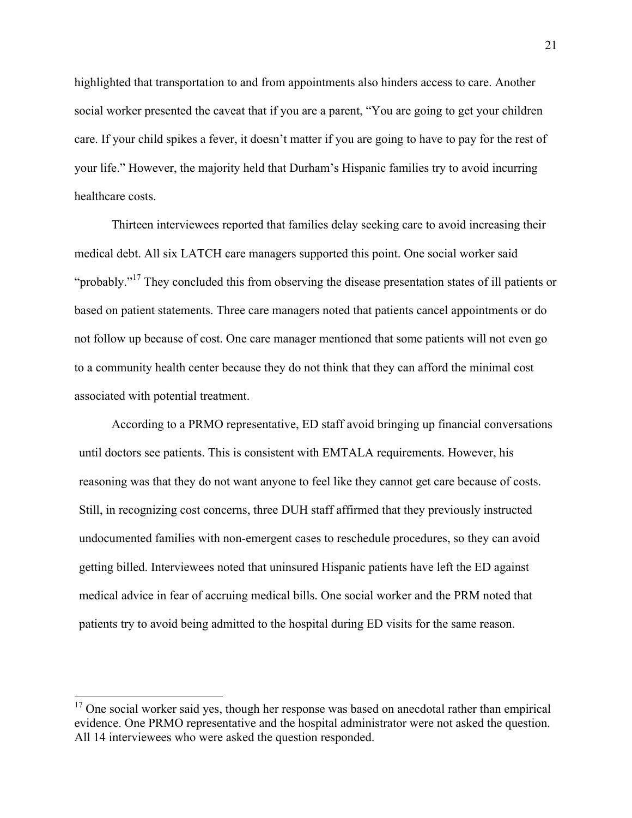highlighted that transportation to and from appointments also hinders access to care. Another social worker presented the caveat that if you are a parent, "You are going to get your children care. If your child spikes a fever, it doesn't matter if you are going to have to pay for the rest of your life." However, the majority held that Durham's Hispanic families try to avoid incurring healthcare costs.

Thirteen interviewees reported that families delay seeking care to avoid increasing their medical debt. All six LATCH care managers supported this point. One social worker said "probably."<sup>17</sup> They concluded this from observing the disease presentation states of ill patients or based on patient statements. Three care managers noted that patients cancel appointments or do not follow up because of cost. One care manager mentioned that some patients will not even go to a community health center because they do not think that they can afford the minimal cost associated with potential treatment.

According to a PRMO representative, ED staff avoid bringing up financial conversations until doctors see patients. This is consistent with EMTALA requirements. However, his reasoning was that they do not want anyone to feel like they cannot get care because of costs. Still, in recognizing cost concerns, three DUH staff affirmed that they previously instructed undocumented families with non-emergent cases to reschedule procedures, so they can avoid getting billed. Interviewees noted that uninsured Hispanic patients have left the ED against medical advice in fear of accruing medical bills. One social worker and the PRM noted that patients try to avoid being admitted to the hospital during ED visits for the same reason.

 $17$  One social worker said yes, though her response was based on anecdotal rather than empirical evidence. One PRMO representative and the hospital administrator were not asked the question. All 14 interviewees who were asked the question responded.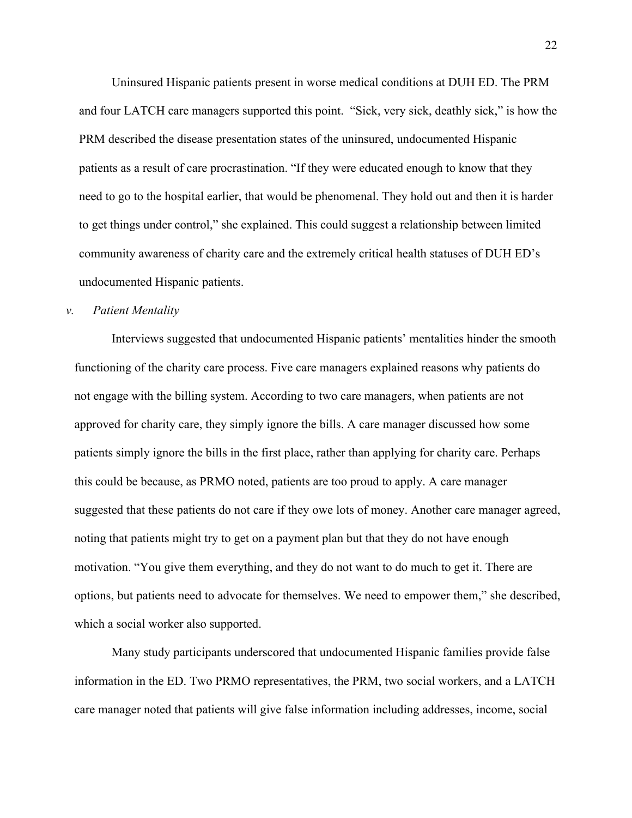Uninsured Hispanic patients present in worse medical conditions at DUH ED. The PRM and four LATCH care managers supported this point. "Sick, very sick, deathly sick," is how the PRM described the disease presentation states of the uninsured, undocumented Hispanic patients as a result of care procrastination. "If they were educated enough to know that they need to go to the hospital earlier, that would be phenomenal. They hold out and then it is harder to get things under control," she explained. This could suggest a relationship between limited community awareness of charity care and the extremely critical health statuses of DUH ED's undocumented Hispanic patients.

## *v. Patient Mentality*

Interviews suggested that undocumented Hispanic patients' mentalities hinder the smooth functioning of the charity care process. Five care managers explained reasons why patients do not engage with the billing system. According to two care managers, when patients are not approved for charity care, they simply ignore the bills. A care manager discussed how some patients simply ignore the bills in the first place, rather than applying for charity care. Perhaps this could be because, as PRMO noted, patients are too proud to apply. A care manager suggested that these patients do not care if they owe lots of money. Another care manager agreed, noting that patients might try to get on a payment plan but that they do not have enough motivation. "You give them everything, and they do not want to do much to get it. There are options, but patients need to advocate for themselves. We need to empower them," she described, which a social worker also supported.

Many study participants underscored that undocumented Hispanic families provide false information in the ED. Two PRMO representatives, the PRM, two social workers, and a LATCH care manager noted that patients will give false information including addresses, income, social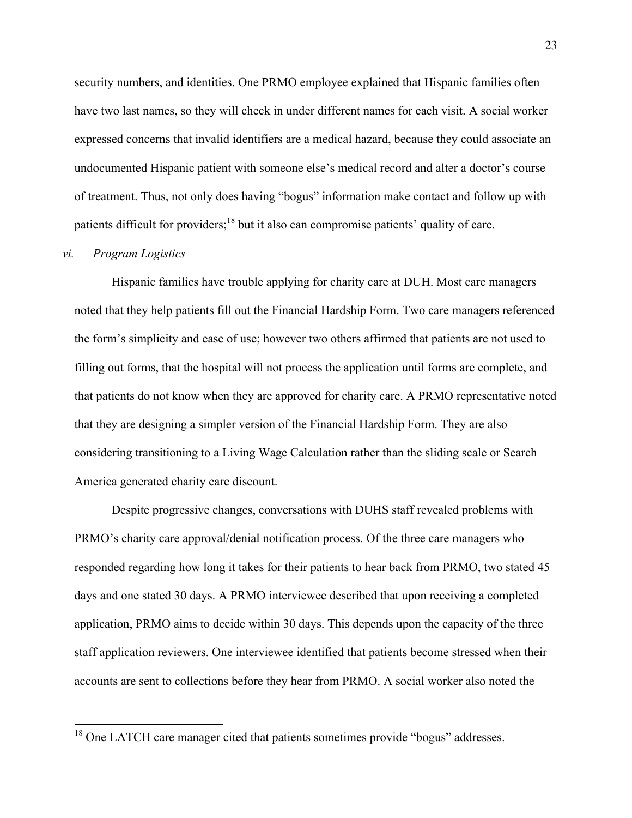security numbers, and identities. One PRMO employee explained that Hispanic families often have two last names, so they will check in under different names for each visit. A social worker expressed concerns that invalid identifiers are a medical hazard, because they could associate an undocumented Hispanic patient with someone else's medical record and alter a doctor's course of treatment. Thus, not only does having "bogus" information make contact and follow up with patients difficult for providers;<sup>18</sup> but it also can compromise patients' quality of care.

#### *vi. Program Logistics*

Hispanic families have trouble applying for charity care at DUH. Most care managers noted that they help patients fill out the Financial Hardship Form. Two care managers referenced the form's simplicity and ease of use; however two others affirmed that patients are not used to filling out forms, that the hospital will not process the application until forms are complete, and that patients do not know when they are approved for charity care. A PRMO representative noted that they are designing a simpler version of the Financial Hardship Form. They are also considering transitioning to a Living Wage Calculation rather than the sliding scale or Search America generated charity care discount.

Despite progressive changes, conversations with DUHS staff revealed problems with PRMO's charity care approval/denial notification process. Of the three care managers who responded regarding how long it takes for their patients to hear back from PRMO, two stated 45 days and one stated 30 days. A PRMO interviewee described that upon receiving a completed application, PRMO aims to decide within 30 days. This depends upon the capacity of the three staff application reviewers. One interviewee identified that patients become stressed when their accounts are sent to collections before they hear from PRMO. A social worker also noted the

 $18$  One LATCH care manager cited that patients sometimes provide "bogus" addresses.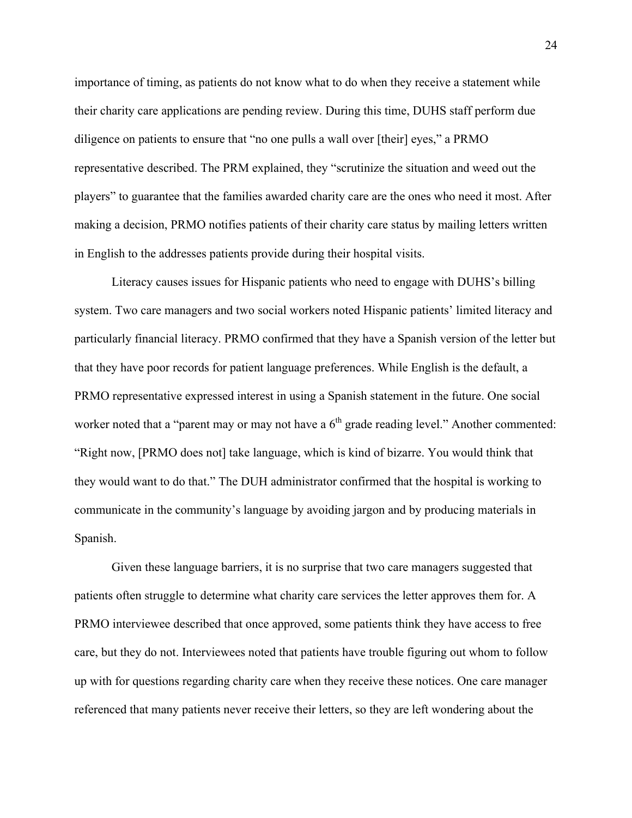importance of timing, as patients do not know what to do when they receive a statement while their charity care applications are pending review. During this time, DUHS staff perform due diligence on patients to ensure that "no one pulls a wall over [their] eyes," a PRMO representative described. The PRM explained, they "scrutinize the situation and weed out the players" to guarantee that the families awarded charity care are the ones who need it most. After making a decision, PRMO notifies patients of their charity care status by mailing letters written in English to the addresses patients provide during their hospital visits.

Literacy causes issues for Hispanic patients who need to engage with DUHS's billing system. Two care managers and two social workers noted Hispanic patients' limited literacy and particularly financial literacy. PRMO confirmed that they have a Spanish version of the letter but that they have poor records for patient language preferences. While English is the default, a PRMO representative expressed interest in using a Spanish statement in the future. One social worker noted that a "parent may or may not have a 6<sup>th</sup> grade reading level." Another commented: "Right now, [PRMO does not] take language, which is kind of bizarre. You would think that they would want to do that." The DUH administrator confirmed that the hospital is working to communicate in the community's language by avoiding jargon and by producing materials in Spanish.

Given these language barriers, it is no surprise that two care managers suggested that patients often struggle to determine what charity care services the letter approves them for. A PRMO interviewee described that once approved, some patients think they have access to free care, but they do not. Interviewees noted that patients have trouble figuring out whom to follow up with for questions regarding charity care when they receive these notices. One care manager referenced that many patients never receive their letters, so they are left wondering about the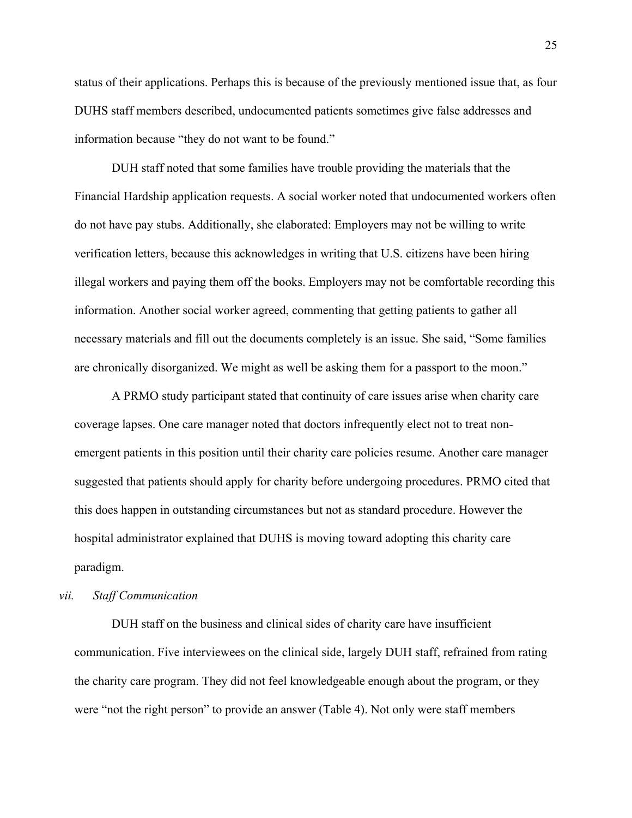status of their applications. Perhaps this is because of the previously mentioned issue that, as four DUHS staff members described, undocumented patients sometimes give false addresses and information because "they do not want to be found."

DUH staff noted that some families have trouble providing the materials that the Financial Hardship application requests. A social worker noted that undocumented workers often do not have pay stubs. Additionally, she elaborated: Employers may not be willing to write verification letters, because this acknowledges in writing that U.S. citizens have been hiring illegal workers and paying them off the books. Employers may not be comfortable recording this information. Another social worker agreed, commenting that getting patients to gather all necessary materials and fill out the documents completely is an issue. She said, "Some families are chronically disorganized. We might as well be asking them for a passport to the moon."

A PRMO study participant stated that continuity of care issues arise when charity care coverage lapses. One care manager noted that doctors infrequently elect not to treat nonemergent patients in this position until their charity care policies resume. Another care manager suggested that patients should apply for charity before undergoing procedures. PRMO cited that this does happen in outstanding circumstances but not as standard procedure. However the hospital administrator explained that DUHS is moving toward adopting this charity care paradigm.

## *vii. Staff Communication*

DUH staff on the business and clinical sides of charity care have insufficient communication. Five interviewees on the clinical side, largely DUH staff, refrained from rating the charity care program. They did not feel knowledgeable enough about the program, or they were "not the right person" to provide an answer (Table 4). Not only were staff members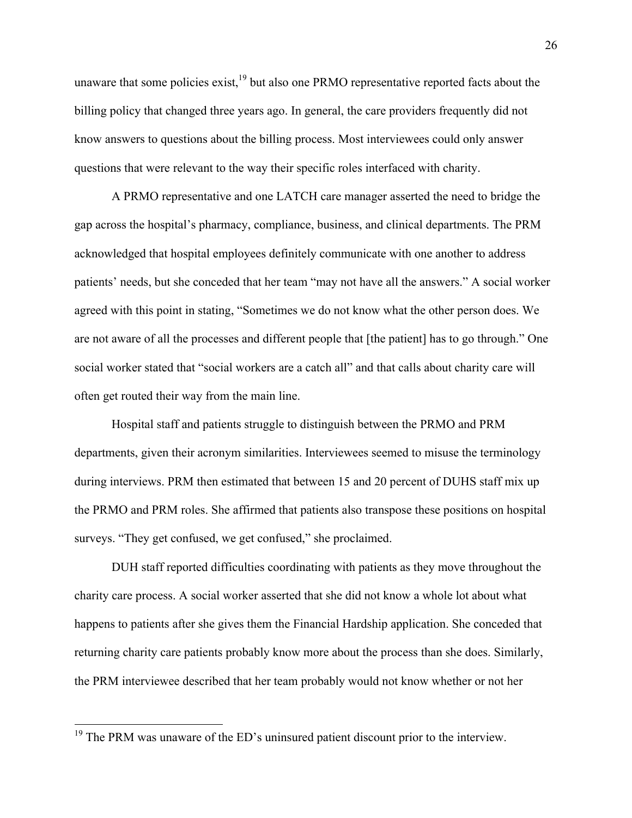unaware that some policies exist,  $19$  but also one PRMO representative reported facts about the billing policy that changed three years ago. In general, the care providers frequently did not know answers to questions about the billing process. Most interviewees could only answer questions that were relevant to the way their specific roles interfaced with charity.

A PRMO representative and one LATCH care manager asserted the need to bridge the gap across the hospital's pharmacy, compliance, business, and clinical departments. The PRM acknowledged that hospital employees definitely communicate with one another to address patients' needs, but she conceded that her team "may not have all the answers." A social worker agreed with this point in stating, "Sometimes we do not know what the other person does. We are not aware of all the processes and different people that [the patient] has to go through." One social worker stated that "social workers are a catch all" and that calls about charity care will often get routed their way from the main line.

Hospital staff and patients struggle to distinguish between the PRMO and PRM departments, given their acronym similarities. Interviewees seemed to misuse the terminology during interviews. PRM then estimated that between 15 and 20 percent of DUHS staff mix up the PRMO and PRM roles. She affirmed that patients also transpose these positions on hospital surveys. "They get confused, we get confused," she proclaimed.

DUH staff reported difficulties coordinating with patients as they move throughout the charity care process. A social worker asserted that she did not know a whole lot about what happens to patients after she gives them the Financial Hardship application. She conceded that returning charity care patients probably know more about the process than she does. Similarly, the PRM interviewee described that her team probably would not know whether or not her

 $19$  The PRM was unaware of the ED's uninsured patient discount prior to the interview.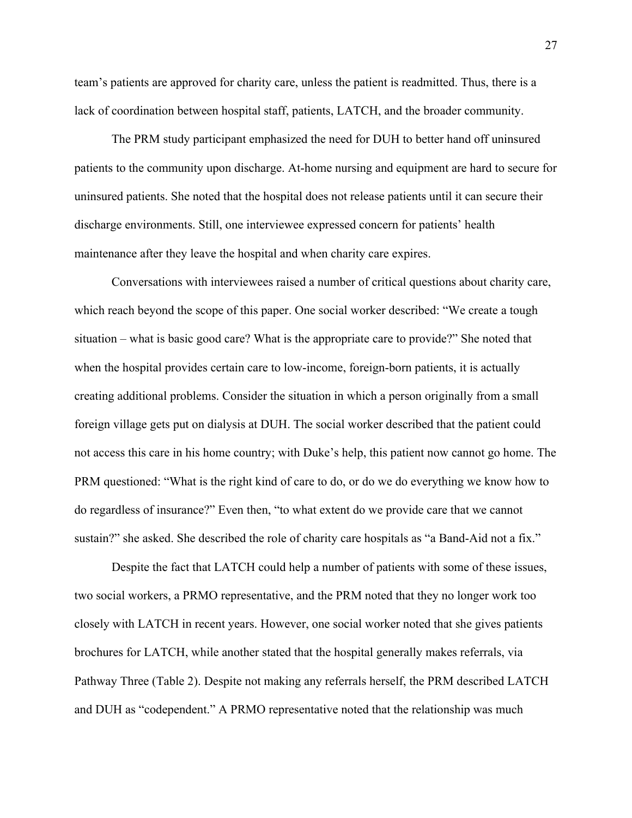team's patients are approved for charity care, unless the patient is readmitted. Thus, there is a lack of coordination between hospital staff, patients, LATCH, and the broader community.

The PRM study participant emphasized the need for DUH to better hand off uninsured patients to the community upon discharge. At-home nursing and equipment are hard to secure for uninsured patients. She noted that the hospital does not release patients until it can secure their discharge environments. Still, one interviewee expressed concern for patients' health maintenance after they leave the hospital and when charity care expires.

Conversations with interviewees raised a number of critical questions about charity care, which reach beyond the scope of this paper. One social worker described: "We create a tough situation – what is basic good care? What is the appropriate care to provide?" She noted that when the hospital provides certain care to low-income, foreign-born patients, it is actually creating additional problems. Consider the situation in which a person originally from a small foreign village gets put on dialysis at DUH. The social worker described that the patient could not access this care in his home country; with Duke's help, this patient now cannot go home. The PRM questioned: "What is the right kind of care to do, or do we do everything we know how to do regardless of insurance?" Even then, "to what extent do we provide care that we cannot sustain?" she asked. She described the role of charity care hospitals as "a Band-Aid not a fix."

Despite the fact that LATCH could help a number of patients with some of these issues, two social workers, a PRMO representative, and the PRM noted that they no longer work too closely with LATCH in recent years. However, one social worker noted that she gives patients brochures for LATCH, while another stated that the hospital generally makes referrals, via Pathway Three (Table 2). Despite not making any referrals herself, the PRM described LATCH and DUH as "codependent." A PRMO representative noted that the relationship was much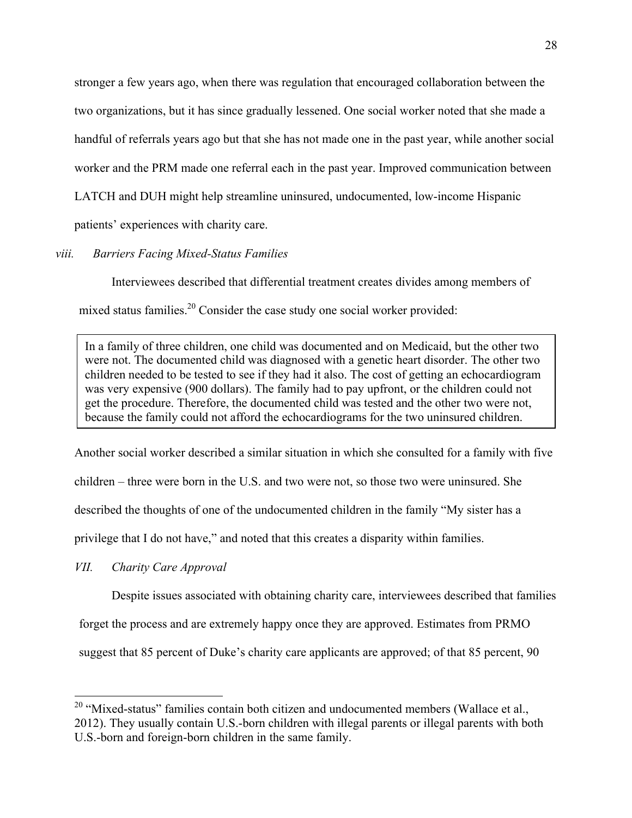stronger a few years ago, when there was regulation that encouraged collaboration between the two organizations, but it has since gradually lessened. One social worker noted that she made a handful of referrals years ago but that she has not made one in the past year, while another social worker and the PRM made one referral each in the past year. Improved communication between LATCH and DUH might help streamline uninsured, undocumented, low-income Hispanic

patients' experiences with charity care.

# *viii. Barriers Facing Mixed-Status Families*

Interviewees described that differential treatment creates divides among members of mixed status families.<sup>20</sup> Consider the case study one social worker provided:

In a family of three children, one child was documented and on Medicaid, but the other two were not. The documented child was diagnosed with a genetic heart disorder. The other two children needed to be tested to see if they had it also. The cost of getting an echocardiogram was very expensive (900 dollars). The family had to pay upfront, or the children could not get the procedure. Therefore, the documented child was tested and the other two were not, because the family could not afford the echocardiograms for the two uninsured children.

Another social worker described a similar situation in which she consulted for a family with five children – three were born in the U.S. and two were not, so those two were uninsured. She described the thoughts of one of the undocumented children in the family "My sister has a privilege that I do not have," and noted that this creates a disparity within families.

*VII. Charity Care Approval* 

Despite issues associated with obtaining charity care, interviewees described that families

forget the process and are extremely happy once they are approved. Estimates from PRMO

suggest that 85 percent of Duke's charity care applicants are approved; of that 85 percent, 90

 $20$  "Mixed-status" families contain both citizen and undocumented members (Wallace et al., 2012). They usually contain U.S.-born children with illegal parents or illegal parents with both U.S.-born and foreign-born children in the same family.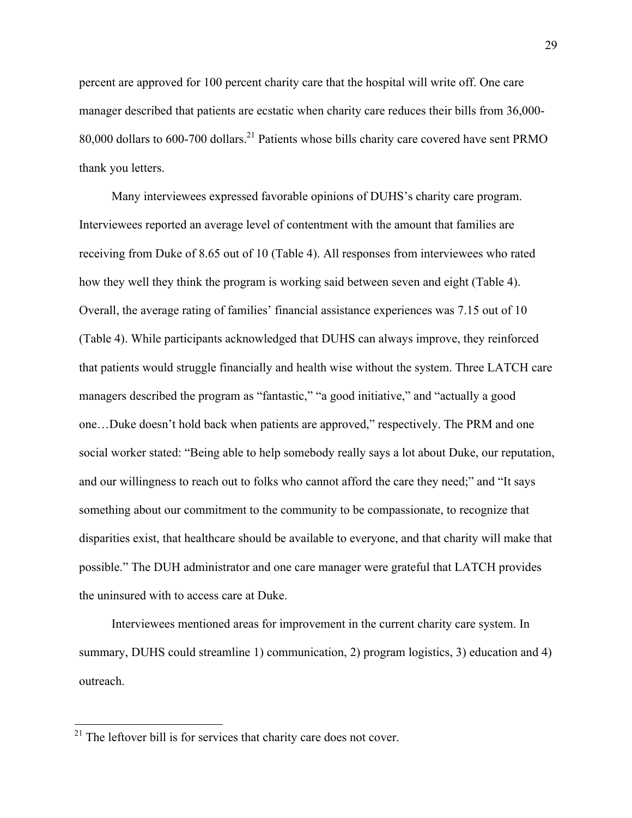percent are approved for 100 percent charity care that the hospital will write off. One care manager described that patients are ecstatic when charity care reduces their bills from 36,000- 80,000 dollars to 600-700 dollars.<sup>21</sup> Patients whose bills charity care covered have sent PRMO thank you letters.

Many interviewees expressed favorable opinions of DUHS's charity care program. Interviewees reported an average level of contentment with the amount that families are receiving from Duke of 8.65 out of 10 (Table 4). All responses from interviewees who rated how they well they think the program is working said between seven and eight (Table 4). Overall, the average rating of families' financial assistance experiences was 7.15 out of 10 (Table 4). While participants acknowledged that DUHS can always improve, they reinforced that patients would struggle financially and health wise without the system. Three LATCH care managers described the program as "fantastic," "a good initiative," and "actually a good one…Duke doesn't hold back when patients are approved," respectively. The PRM and one social worker stated: "Being able to help somebody really says a lot about Duke, our reputation, and our willingness to reach out to folks who cannot afford the care they need;" and "It says something about our commitment to the community to be compassionate, to recognize that disparities exist, that healthcare should be available to everyone, and that charity will make that possible." The DUH administrator and one care manager were grateful that LATCH provides the uninsured with to access care at Duke.

Interviewees mentioned areas for improvement in the current charity care system. In summary, DUHS could streamline 1) communication, 2) program logistics, 3) education and 4) outreach.

 $21$  The leftover bill is for services that charity care does not cover.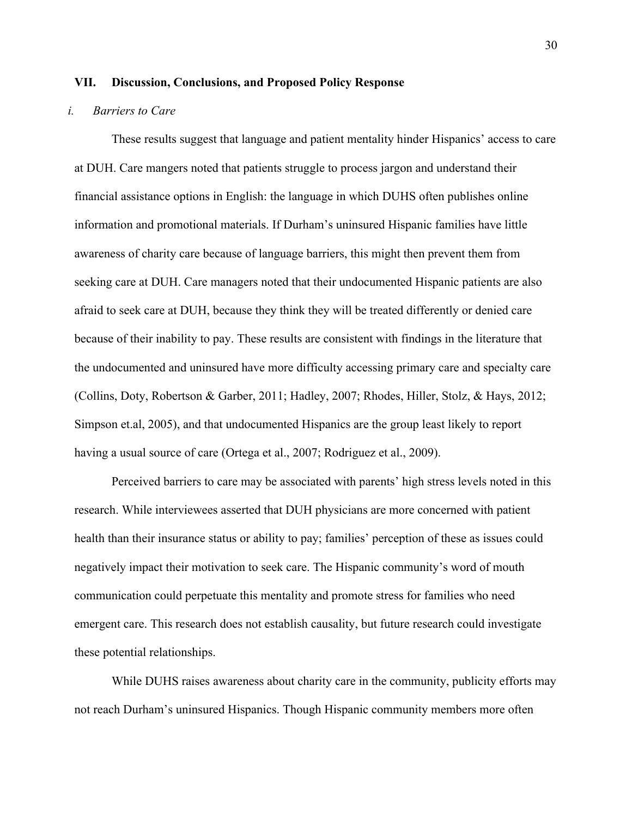#### **VII. Discussion, Conclusions, and Proposed Policy Response**

#### *i. Barriers to Care*

These results suggest that language and patient mentality hinder Hispanics' access to care at DUH. Care mangers noted that patients struggle to process jargon and understand their financial assistance options in English: the language in which DUHS often publishes online information and promotional materials. If Durham's uninsured Hispanic families have little awareness of charity care because of language barriers, this might then prevent them from seeking care at DUH. Care managers noted that their undocumented Hispanic patients are also afraid to seek care at DUH, because they think they will be treated differently or denied care because of their inability to pay. These results are consistent with findings in the literature that the undocumented and uninsured have more difficulty accessing primary care and specialty care (Collins, Doty, Robertson & Garber, 2011; Hadley, 2007; Rhodes, Hiller, Stolz, & Hays, 2012; Simpson et.al, 2005), and that undocumented Hispanics are the group least likely to report having a usual source of care (Ortega et al., 2007; Rodriguez et al., 2009).

Perceived barriers to care may be associated with parents' high stress levels noted in this research. While interviewees asserted that DUH physicians are more concerned with patient health than their insurance status or ability to pay; families' perception of these as issues could negatively impact their motivation to seek care. The Hispanic community's word of mouth communication could perpetuate this mentality and promote stress for families who need emergent care. This research does not establish causality, but future research could investigate these potential relationships.

While DUHS raises awareness about charity care in the community, publicity efforts may not reach Durham's uninsured Hispanics. Though Hispanic community members more often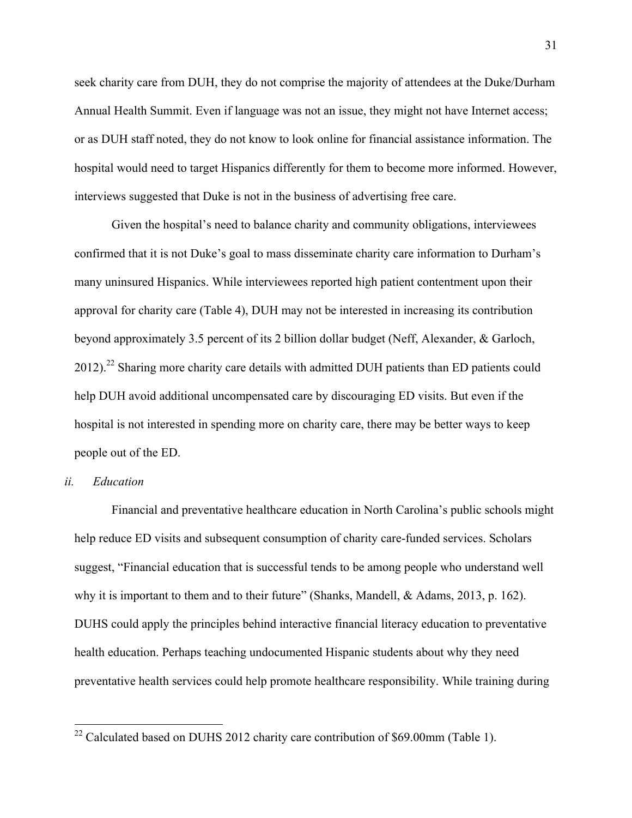seek charity care from DUH, they do not comprise the majority of attendees at the Duke/Durham Annual Health Summit. Even if language was not an issue, they might not have Internet access; or as DUH staff noted, they do not know to look online for financial assistance information. The hospital would need to target Hispanics differently for them to become more informed. However, interviews suggested that Duke is not in the business of advertising free care.

Given the hospital's need to balance charity and community obligations, interviewees confirmed that it is not Duke's goal to mass disseminate charity care information to Durham's many uninsured Hispanics. While interviewees reported high patient contentment upon their approval for charity care (Table 4), DUH may not be interested in increasing its contribution beyond approximately 3.5 percent of its 2 billion dollar budget (Neff, Alexander, & Garloch,  $2012$ ).<sup>22</sup> Sharing more charity care details with admitted DUH patients than ED patients could help DUH avoid additional uncompensated care by discouraging ED visits. But even if the hospital is not interested in spending more on charity care, there may be better ways to keep people out of the ED.

## *ii. Education*

Financial and preventative healthcare education in North Carolina's public schools might help reduce ED visits and subsequent consumption of charity care-funded services. Scholars suggest, "Financial education that is successful tends to be among people who understand well why it is important to them and to their future" (Shanks, Mandell, & Adams, 2013, p. 162). DUHS could apply the principles behind interactive financial literacy education to preventative health education. Perhaps teaching undocumented Hispanic students about why they need preventative health services could help promote healthcare responsibility. While training during

 $22$  Calculated based on DUHS 2012 charity care contribution of \$69.00mm (Table 1).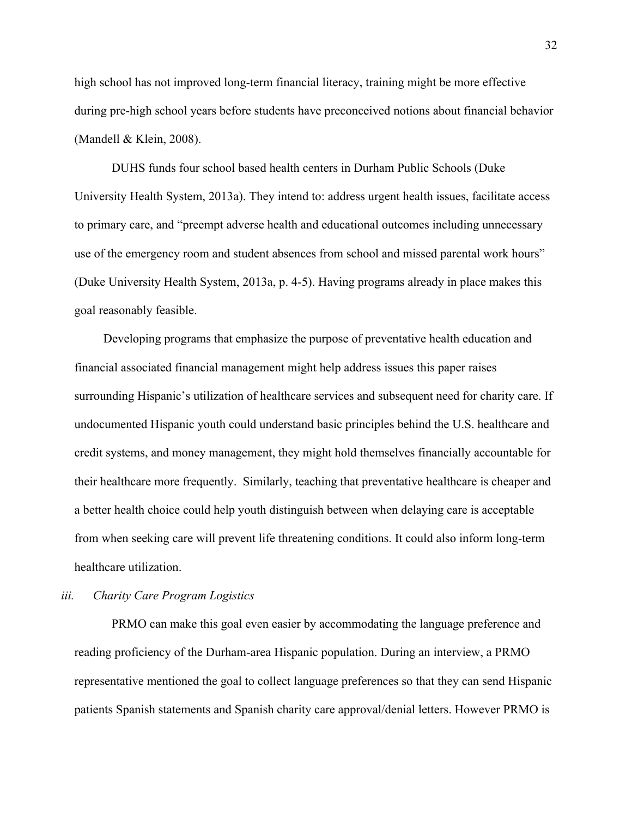high school has not improved long-term financial literacy, training might be more effective during pre-high school years before students have preconceived notions about financial behavior (Mandell & Klein, 2008).

DUHS funds four school based health centers in Durham Public Schools (Duke University Health System, 2013a). They intend to: address urgent health issues, facilitate access to primary care, and "preempt adverse health and educational outcomes including unnecessary use of the emergency room and student absences from school and missed parental work hours" (Duke University Health System, 2013a, p. 4-5). Having programs already in place makes this goal reasonably feasible.

Developing programs that emphasize the purpose of preventative health education and financial associated financial management might help address issues this paper raises surrounding Hispanic's utilization of healthcare services and subsequent need for charity care. If undocumented Hispanic youth could understand basic principles behind the U.S. healthcare and credit systems, and money management, they might hold themselves financially accountable for their healthcare more frequently. Similarly, teaching that preventative healthcare is cheaper and a better health choice could help youth distinguish between when delaying care is acceptable from when seeking care will prevent life threatening conditions. It could also inform long-term healthcare utilization.

## *iii. Charity Care Program Logistics*

PRMO can make this goal even easier by accommodating the language preference and reading proficiency of the Durham-area Hispanic population. During an interview, a PRMO representative mentioned the goal to collect language preferences so that they can send Hispanic patients Spanish statements and Spanish charity care approval/denial letters. However PRMO is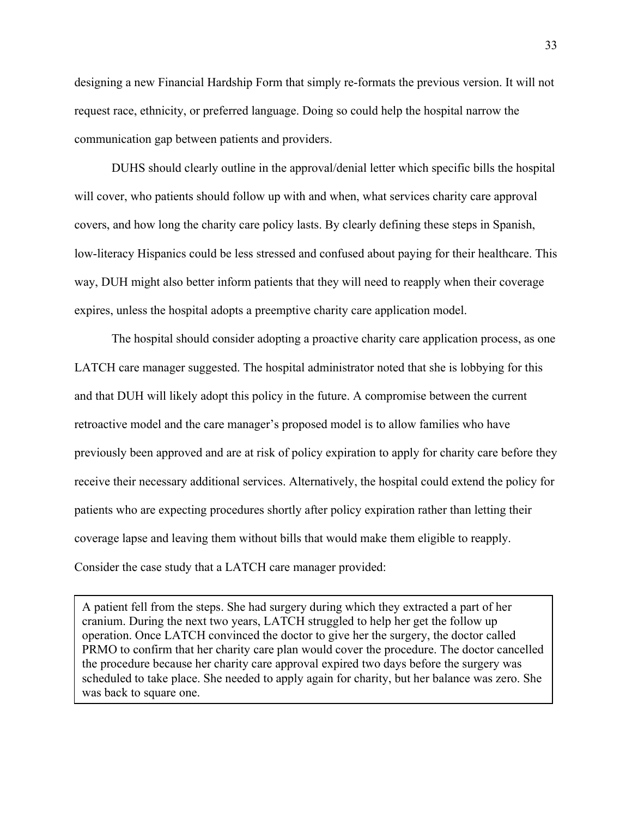designing a new Financial Hardship Form that simply re-formats the previous version. It will not request race, ethnicity, or preferred language. Doing so could help the hospital narrow the communication gap between patients and providers.

DUHS should clearly outline in the approval/denial letter which specific bills the hospital will cover, who patients should follow up with and when, what services charity care approval covers, and how long the charity care policy lasts. By clearly defining these steps in Spanish, low-literacy Hispanics could be less stressed and confused about paying for their healthcare. This way, DUH might also better inform patients that they will need to reapply when their coverage expires, unless the hospital adopts a preemptive charity care application model.

The hospital should consider adopting a proactive charity care application process, as one LATCH care manager suggested. The hospital administrator noted that she is lobbying for this and that DUH will likely adopt this policy in the future. A compromise between the current retroactive model and the care manager's proposed model is to allow families who have previously been approved and are at risk of policy expiration to apply for charity care before they receive their necessary additional services. Alternatively, the hospital could extend the policy for patients who are expecting procedures shortly after policy expiration rather than letting their coverage lapse and leaving them without bills that would make them eligible to reapply. Consider the case study that a LATCH care manager provided:

A patient fell from the steps. She had surgery during which they extracted a part of her cranium. During the next two years, LATCH struggled to help her get the follow up operation. Once LATCH convinced the doctor to give her the surgery, the doctor called PRMO to confirm that her charity care plan would cover the procedure. The doctor cancelled the procedure because her charity care approval expired two days before the surgery was scheduled to take place. She needed to apply again for charity, but her balance was zero. She was back to square one.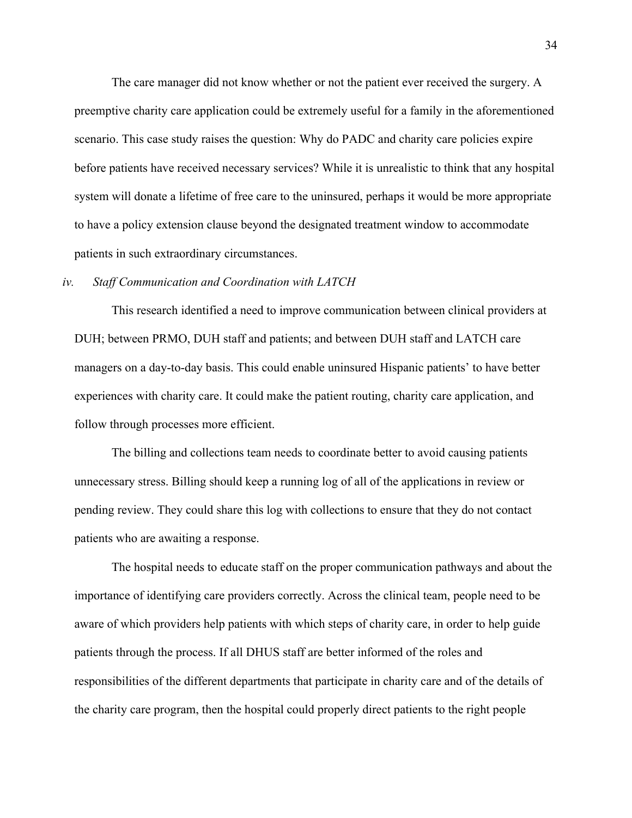The care manager did not know whether or not the patient ever received the surgery. A preemptive charity care application could be extremely useful for a family in the aforementioned scenario. This case study raises the question: Why do PADC and charity care policies expire before patients have received necessary services? While it is unrealistic to think that any hospital system will donate a lifetime of free care to the uninsured, perhaps it would be more appropriate to have a policy extension clause beyond the designated treatment window to accommodate patients in such extraordinary circumstances.

#### *iv. Staff Communication and Coordination with LATCH*

This research identified a need to improve communication between clinical providers at DUH; between PRMO, DUH staff and patients; and between DUH staff and LATCH care managers on a day-to-day basis. This could enable uninsured Hispanic patients' to have better experiences with charity care. It could make the patient routing, charity care application, and follow through processes more efficient.

The billing and collections team needs to coordinate better to avoid causing patients unnecessary stress. Billing should keep a running log of all of the applications in review or pending review. They could share this log with collections to ensure that they do not contact patients who are awaiting a response.

The hospital needs to educate staff on the proper communication pathways and about the importance of identifying care providers correctly. Across the clinical team, people need to be aware of which providers help patients with which steps of charity care, in order to help guide patients through the process. If all DHUS staff are better informed of the roles and responsibilities of the different departments that participate in charity care and of the details of the charity care program, then the hospital could properly direct patients to the right people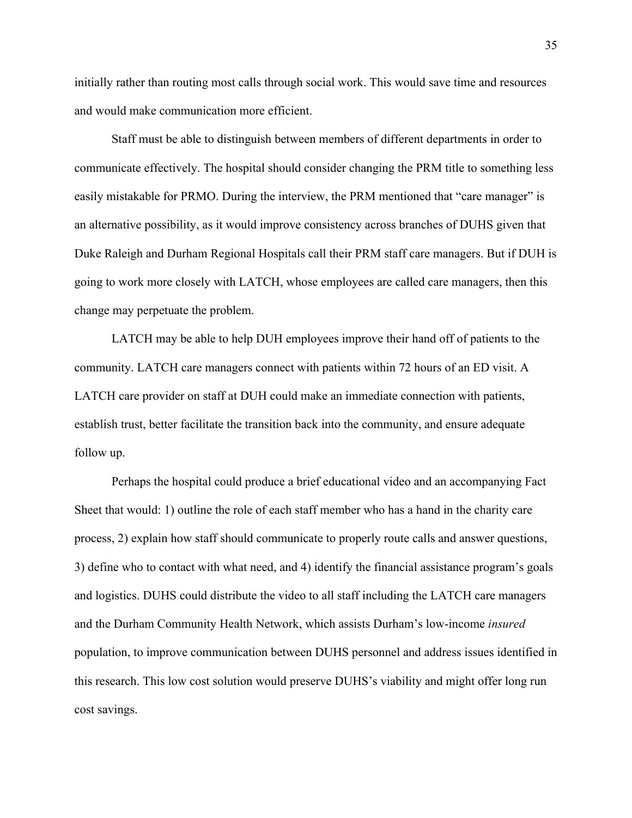initially rather than routing most calls through social work. This would save time and resources and would make communication more efficient.

Staff must be able to distinguish between members of different departments in order to communicate effectively. The hospital should consider changing the PRM title to something less easily mistakable for PRMO. During the interview, the PRM mentioned that "care manager" is an alternative possibility, as it would improve consistency across branches of DUHS given that Duke Raleigh and Durham Regional Hospitals call their PRM staff care managers. But if DUH is going to work more closely with LATCH, whose employees are called care managers, then this change may perpetuate the problem.

LATCH may be able to help DUH employees improve their hand off of patients to the community. LATCH care managers connect with patients within 72 hours of an ED visit. A LATCH care provider on staff at DUH could make an immediate connection with patients, establish trust, better facilitate the transition back into the community, and ensure adequate follow up.

Perhaps the hospital could produce a brief educational video and an accompanying Fact Sheet that would: 1) outline the role of each staff member who has a hand in the charity care process, 2) explain how staff should communicate to properly route calls and answer questions, 3) define who to contact with what need, and 4) identify the financial assistance program's goals and logistics. DUHS could distribute the video to all staff including the LATCH care managers and the Durham Community Health Network, which assists Durham's low-income *insured* population, to improve communication between DUHS personnel and address issues identified in this research. This low cost solution would preserve DUHS's viability and might offer long run cost savings.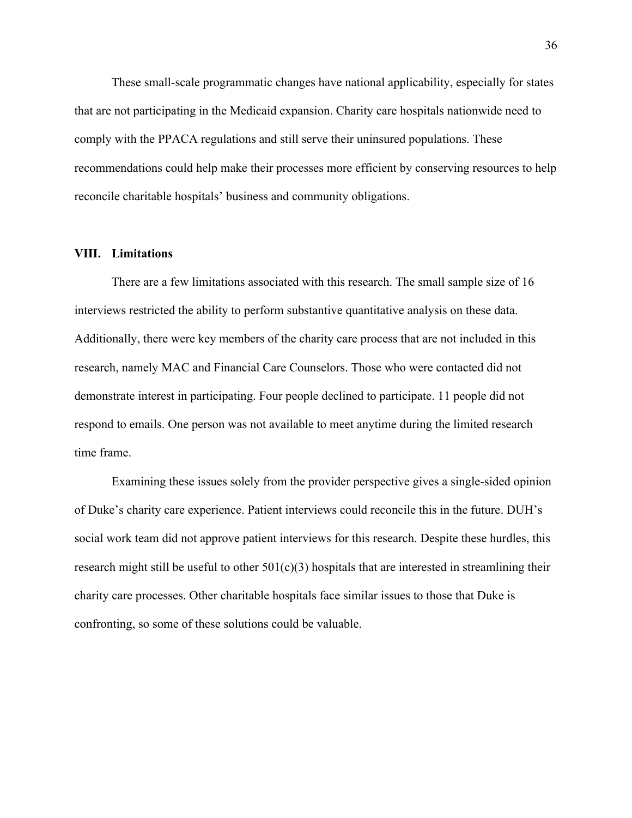These small-scale programmatic changes have national applicability, especially for states that are not participating in the Medicaid expansion. Charity care hospitals nationwide need to comply with the PPACA regulations and still serve their uninsured populations. These recommendations could help make their processes more efficient by conserving resources to help reconcile charitable hospitals' business and community obligations.

#### **VIII. Limitations**

There are a few limitations associated with this research. The small sample size of 16 interviews restricted the ability to perform substantive quantitative analysis on these data. Additionally, there were key members of the charity care process that are not included in this research, namely MAC and Financial Care Counselors. Those who were contacted did not demonstrate interest in participating. Four people declined to participate. 11 people did not respond to emails. One person was not available to meet anytime during the limited research time frame.

Examining these issues solely from the provider perspective gives a single-sided opinion of Duke's charity care experience. Patient interviews could reconcile this in the future. DUH's social work team did not approve patient interviews for this research. Despite these hurdles, this research might still be useful to other  $501(c)(3)$  hospitals that are interested in streamlining their charity care processes. Other charitable hospitals face similar issues to those that Duke is confronting, so some of these solutions could be valuable.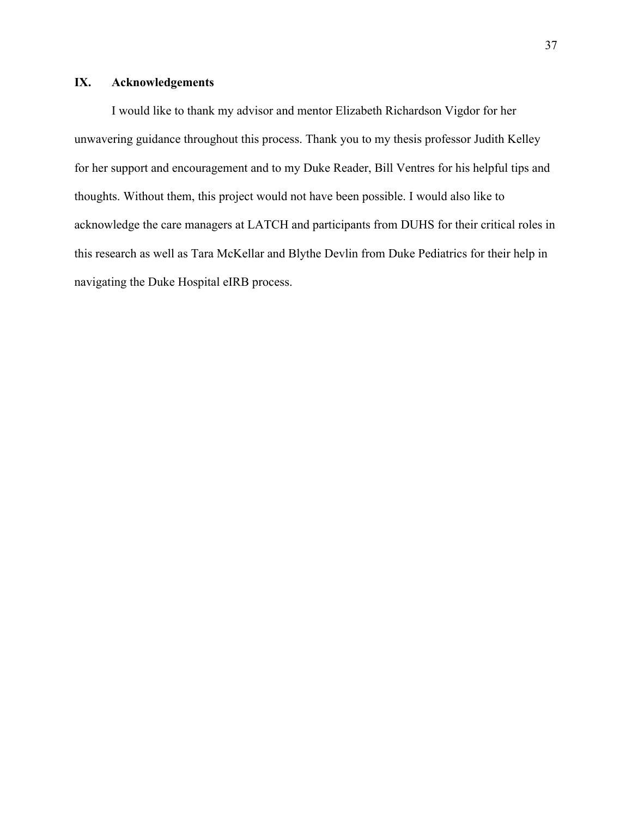# **IX. Acknowledgements**

I would like to thank my advisor and mentor Elizabeth Richardson Vigdor for her unwavering guidance throughout this process. Thank you to my thesis professor Judith Kelley for her support and encouragement and to my Duke Reader, Bill Ventres for his helpful tips and thoughts. Without them, this project would not have been possible. I would also like to acknowledge the care managers at LATCH and participants from DUHS for their critical roles in this research as well as Tara McKellar and Blythe Devlin from Duke Pediatrics for their help in navigating the Duke Hospital eIRB process.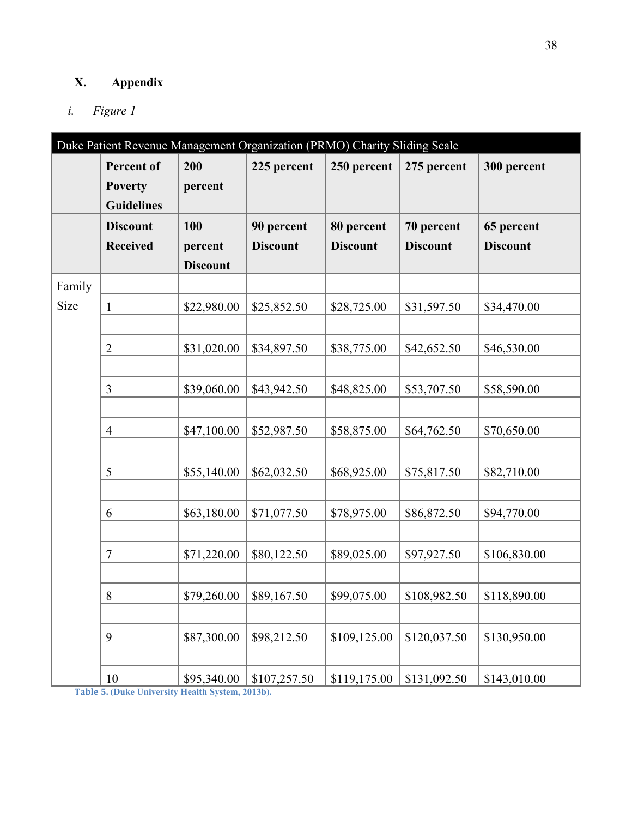# **X. Appendix**

# *i. Figure 1*

| Duke Patient Revenue Management Organization (PRMO) Charity Sliding Scale |                   |                 |                 |                 |                 |                 |
|---------------------------------------------------------------------------|-------------------|-----------------|-----------------|-----------------|-----------------|-----------------|
|                                                                           | <b>Percent of</b> | 200             | 225 percent     | 250 percent     | 275 percent     | 300 percent     |
|                                                                           | <b>Poverty</b>    | percent         |                 |                 |                 |                 |
|                                                                           | <b>Guidelines</b> |                 |                 |                 |                 |                 |
|                                                                           | <b>Discount</b>   | 100             | 90 percent      | 80 percent      | 70 percent      | 65 percent      |
|                                                                           | <b>Received</b>   | percent         | <b>Discount</b> | <b>Discount</b> | <b>Discount</b> | <b>Discount</b> |
|                                                                           |                   | <b>Discount</b> |                 |                 |                 |                 |
| Family                                                                    |                   |                 |                 |                 |                 |                 |
| Size                                                                      | $\mathbf{1}$      | \$22,980.00     | \$25,852.50     | \$28,725.00     | \$31,597.50     | \$34,470.00     |
|                                                                           |                   |                 |                 |                 |                 |                 |
|                                                                           | $\overline{2}$    | \$31,020.00     | \$34,897.50     | \$38,775.00     | \$42,652.50     | \$46,530.00     |
|                                                                           |                   |                 |                 |                 |                 |                 |
|                                                                           | 3                 | \$39,060.00     | \$43,942.50     | \$48,825.00     | \$53,707.50     | \$58,590.00     |
|                                                                           |                   |                 |                 |                 |                 |                 |
|                                                                           | $\overline{4}$    | \$47,100.00     | \$52,987.50     | \$58,875.00     | \$64,762.50     | \$70,650.00     |
|                                                                           |                   |                 |                 |                 |                 |                 |
|                                                                           | 5                 | \$55,140.00     | \$62,032.50     | \$68,925.00     | \$75,817.50     | \$82,710.00     |
|                                                                           |                   |                 |                 |                 |                 |                 |
|                                                                           | 6                 | \$63,180.00     | \$71,077.50     | \$78,975.00     | \$86,872.50     | \$94,770.00     |
|                                                                           |                   |                 |                 |                 |                 |                 |
|                                                                           | $\overline{7}$    | \$71,220.00     | \$80,122.50     | \$89,025.00     | \$97,927.50     | \$106,830.00    |
|                                                                           |                   |                 |                 |                 |                 |                 |
|                                                                           | $8\,$             | \$79,260.00     | \$89,167.50     | \$99,075.00     | \$108,982.50    | \$118,890.00    |
|                                                                           |                   |                 |                 |                 |                 |                 |
|                                                                           | 9                 | \$87,300.00     | \$98,212.50     | \$109,125.00    | \$120,037.50    | \$130,950.00    |
|                                                                           |                   |                 |                 |                 |                 |                 |
| Table 5                                                                   | 10                | \$95,340.00     | \$107,257.50    | \$119,175.00    | \$131,092.50    | \$143,010.00    |

**Table&5.&(Duke University Health System, 2013b).**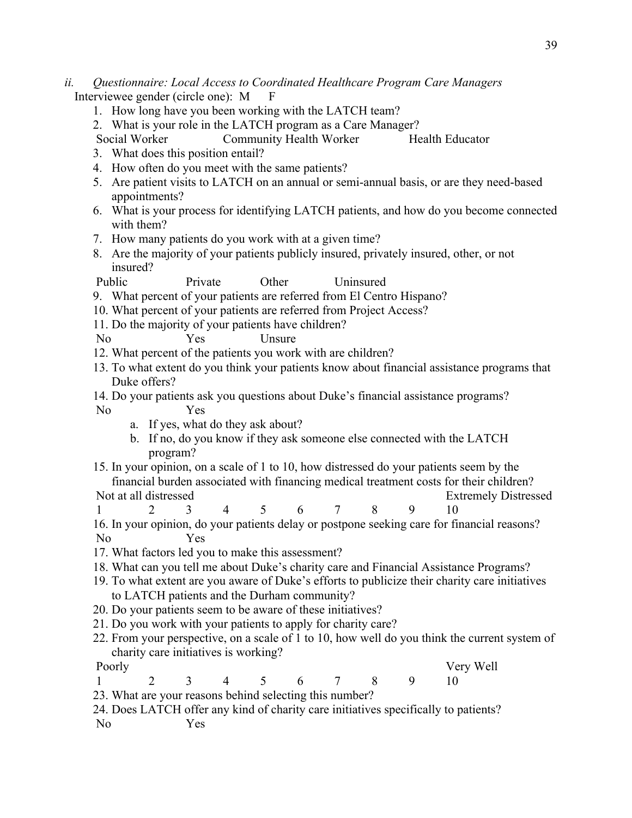- *ii. Questionnaire: Local Access to Coordinated Healthcare Program Care Managers* Interviewee gender (circle one): M F
	- 1. How long have you been working with the LATCH team?
	- 2. What is your role in the LATCH program as a Care Manager?
	- Social Worker Community Health Worker Health Educator
	- 3. What does this position entail?
	- 4. How often do you meet with the same patients?
	- 5. Are patient visits to LATCH on an annual or semi-annual basis, or are they need-based appointments?
	- 6. What is your process for identifying LATCH patients, and how do you become connected with them?
	- 7. How many patients do you work with at a given time?
	- 8. Are the majority of your patients publicly insured, privately insured, other, or not insured?

Public Private Other Uninsured

- 9. What percent of your patients are referred from El Centro Hispano?
- 10. What percent of your patients are referred from Project Access?
- 11. Do the majority of your patients have children?
- No Yes Unsure
- 12. What percent of the patients you work with are children?
- 13. To what extent do you think your patients know about financial assistance programs that Duke offers?
- 14. Do your patients ask you questions about Duke's financial assistance programs? No Yes
	- a. If yes, what do they ask about?
	- b. If no, do you know if they ask someone else connected with the LATCH program?
- 15. In your opinion, on a scale of 1 to 10, how distressed do your patients seem by the financial burden associated with financing medical treatment costs for their children? Not at all distressed Extremely Distressed
- 1 2 3 4 5 6 7 8 9 10
- 16. In your opinion, do your patients delay or postpone seeking care for financial reasons? No Yes
- 17. What factors led you to make this assessment?
- 18. What can you tell me about Duke's charity care and Financial Assistance Programs?
- 19. To what extent are you aware of Duke's efforts to publicize their charity care initiatives to LATCH patients and the Durham community?
- 20. Do your patients seem to be aware of these initiatives?
- 21. Do you work with your patients to apply for charity care?
- 22. From your perspective, on a scale of 1 to 10, how well do you think the current system of charity care initiatives is working?

- Poorly **Very Well**
- 1 2 3 4 5 6 7 8 9 10
- 23. What are your reasons behind selecting this number?
- 24. Does LATCH offer any kind of charity care initiatives specifically to patients? No Yes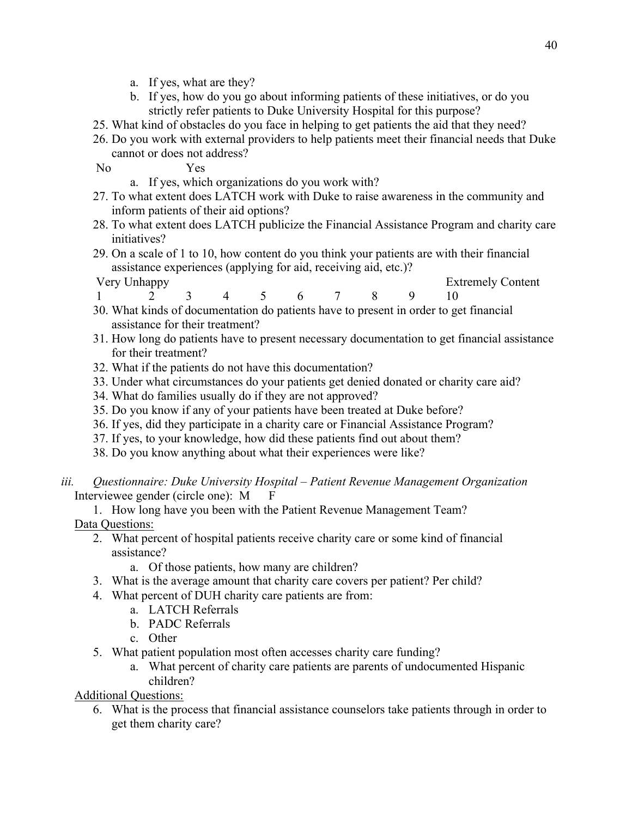- a. If yes, what are they?
- b. If yes, how do you go about informing patients of these initiatives, or do you strictly refer patients to Duke University Hospital for this purpose?
- 25. What kind of obstacles do you face in helping to get patients the aid that they need?
- 26. Do you work with external providers to help patients meet their financial needs that Duke cannot or does not address?

No Yes

- a. If yes, which organizations do you work with?
- 27. To what extent does LATCH work with Duke to raise awareness in the community and inform patients of their aid options?
- 28. To what extent does LATCH publicize the Financial Assistance Program and charity care initiatives?
- 29. On a scale of 1 to 10, how content do you think your patients are with their financial assistance experiences (applying for aid, receiving aid, etc.)?
- Very Unhappy Extremely Content 1 2 3 4 5 6 7 8 9 10
- 30. What kinds of documentation do patients have to present in order to get financial assistance for their treatment?
- 31. How long do patients have to present necessary documentation to get financial assistance for their treatment?
- 32. What if the patients do not have this documentation?
- 33. Under what circumstances do your patients get denied donated or charity care aid?
- 34. What do families usually do if they are not approved?
- 35. Do you know if any of your patients have been treated at Duke before?
- 36. If yes, did they participate in a charity care or Financial Assistance Program?
- 37. If yes, to your knowledge, how did these patients find out about them?
- 38. Do you know anything about what their experiences were like?
- *iii. Questionnaire: Duke University Hospital – Patient Revenue Management Organization* Interviewee gender (circle one): M F

1. How long have you been with the Patient Revenue Management Team?

- Data Questions:
	- 2. What percent of hospital patients receive charity care or some kind of financial assistance?
		- a. Of those patients, how many are children?
	- 3. What is the average amount that charity care covers per patient? Per child?
	- 4. What percent of DUH charity care patients are from:
		- a. LATCH Referrals
			- b. PADC Referrals
			- c. Other
	- 5. What patient population most often accesses charity care funding?
		- a. What percent of charity care patients are parents of undocumented Hispanic children?

Additional Questions:

6. What is the process that financial assistance counselors take patients through in order to get them charity care?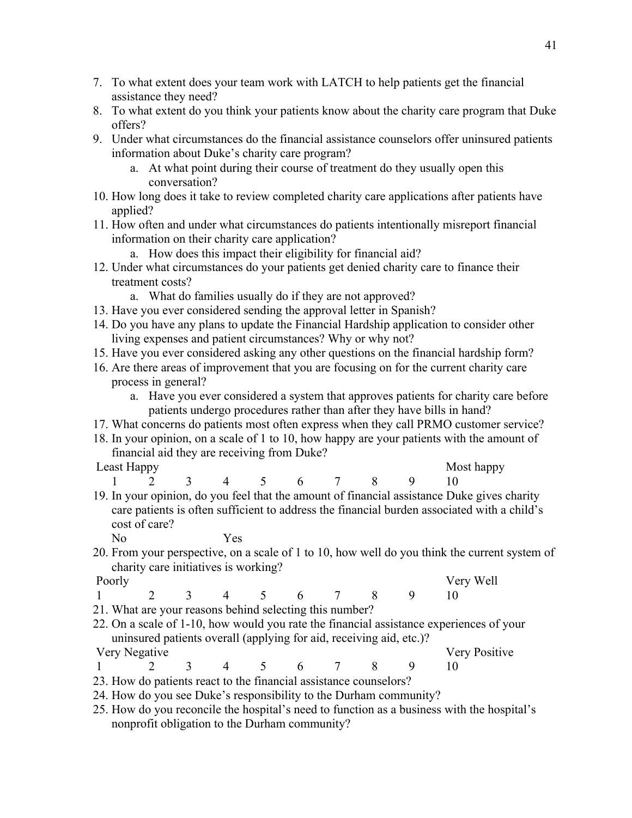- 7. To what extent does your team work with LATCH to help patients get the financial assistance they need?
- 8. To what extent do you think your patients know about the charity care program that Duke offers?
- 9. Under what circumstances do the financial assistance counselors offer uninsured patients information about Duke's charity care program?
	- a. At what point during their course of treatment do they usually open this conversation?
- 10. How long does it take to review completed charity care applications after patients have applied?
- 11. How often and under what circumstances do patients intentionally misreport financial information on their charity care application?
	- a. How does this impact their eligibility for financial aid?
- 12. Under what circumstances do your patients get denied charity care to finance their treatment costs?
	- a. What do families usually do if they are not approved?
- 13. Have you ever considered sending the approval letter in Spanish?
- 14. Do you have any plans to update the Financial Hardship application to consider other living expenses and patient circumstances? Why or why not?
- 15. Have you ever considered asking any other questions on the financial hardship form?
- 16. Are there areas of improvement that you are focusing on for the current charity care process in general?
	- a. Have you ever considered a system that approves patients for charity care before patients undergo procedures rather than after they have bills in hand?
- 17. What concerns do patients most often express when they call PRMO customer service?
- 18. In your opinion, on a scale of 1 to 10, how happy are your patients with the amount of financial aid they are receiving from Duke?
- 
- Least Happy Most happy Most happy 1 2 3 4 5 6 7 8 9 10
- 19. In your opinion, do you feel that the amount of financial assistance Duke gives charity care patients is often sufficient to address the financial burden associated with a child's cost of care?
	- No Yes
- 20. From your perspective, on a scale of 1 to 10, how well do you think the current system of charity care initiatives is working?
- Poorly **Very Well** 1 2 3 4 5 6 7 8 9 10
- 21. What are your reasons behind selecting this number?
- 22. On a scale of 1-10, how would you rate the financial assistance experiences of your uninsured patients overall (applying for aid, receiving aid, etc.)? Very Negative Very Positive
- 1 2 3 4 5 6 7 8 9 10
- 23. How do patients react to the financial assistance counselors?
- 24. How do you see Duke's responsibility to the Durham community?
- 25. How do you reconcile the hospital's need to function as a business with the hospital's nonprofit obligation to the Durham community?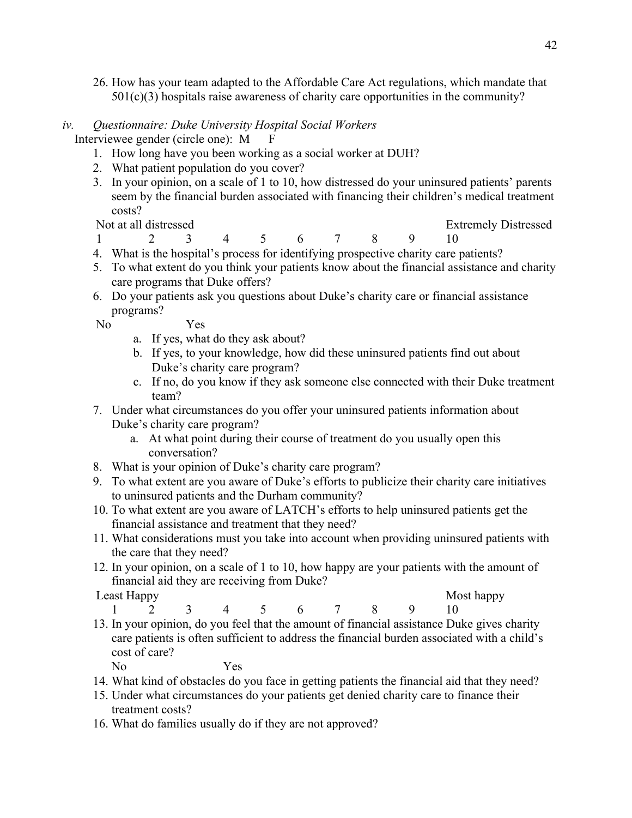26. How has your team adapted to the Affordable Care Act regulations, which mandate that  $501(c)(3)$  hospitals raise awareness of charity care opportunities in the community?

# *iv. Questionnaire: Duke University Hospital Social Workers*

Interviewee gender (circle one): M F

- 1. How long have you been working as a social worker at DUH?
- 2. What patient population do you cover?
- 3. In your opinion, on a scale of 1 to 10, how distressed do your uninsured patients' parents seem by the financial burden associated with financing their children's medical treatment costs?

Not at all distressed Extremely Distressed

- 1 2 3 4 5 6 7 8 9 10
- 4. What is the hospital's process for identifying prospective charity care patients?
- 5. To what extent do you think your patients know about the financial assistance and charity care programs that Duke offers?
- 6. Do your patients ask you questions about Duke's charity care or financial assistance programs?

No Yes

- a. If yes, what do they ask about?
- b. If yes, to your knowledge, how did these uninsured patients find out about Duke's charity care program?
- c. If no, do you know if they ask someone else connected with their Duke treatment team?
- 7. Under what circumstances do you offer your uninsured patients information about Duke's charity care program?
	- a. At what point during their course of treatment do you usually open this conversation?
- 8. What is your opinion of Duke's charity care program?
- 9. To what extent are you aware of Duke's efforts to publicize their charity care initiatives to uninsured patients and the Durham community?
- 10. To what extent are you aware of LATCH's efforts to help uninsured patients get the financial assistance and treatment that they need?
- 11. What considerations must you take into account when providing uninsured patients with the care that they need?
- 12. In your opinion, on a scale of 1 to 10, how happy are your patients with the amount of financial aid they are receiving from Duke?

Least Happy Most happy

- 1 2 3 4 5 6 7 8 9 10
- 13. In your opinion, do you feel that the amount of financial assistance Duke gives charity care patients is often sufficient to address the financial burden associated with a child's cost of care?

No Yes

- 14. What kind of obstacles do you face in getting patients the financial aid that they need?
- 15. Under what circumstances do your patients get denied charity care to finance their treatment costs?
- 16. What do families usually do if they are not approved?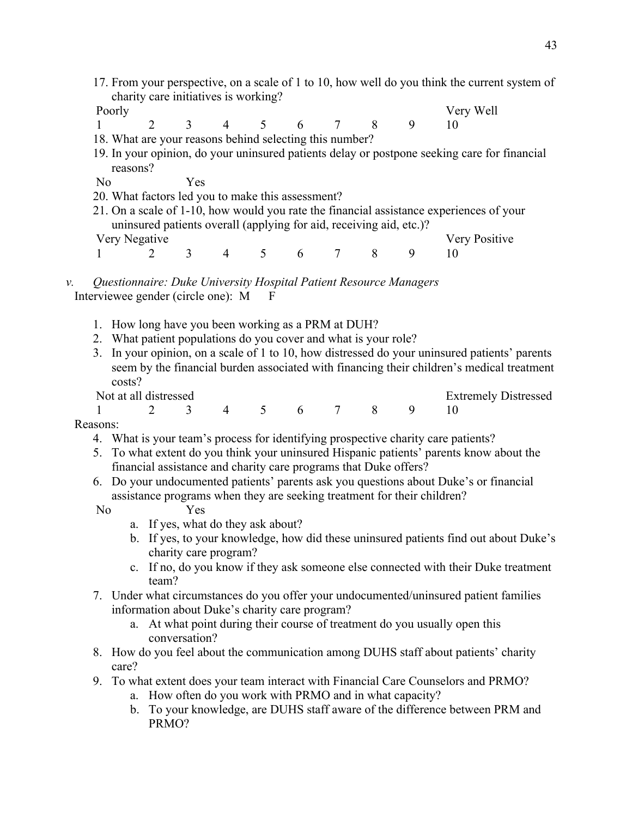- 17. From your perspective, on a scale of 1 to 10, how well do you think the current system of charity care initiatives is working?
- 
- Poorly Very Well
- 1 2 3 4 5 6 7 8 9 10 18. What are your reasons behind selecting this number?
- 19. In your opinion, do your uninsured patients delay or postpone seeking care for financial reasons?
- No Yes
- 20. What factors led you to make this assessment?
- 21. On a scale of 1-10, how would you rate the financial assistance experiences of your uninsured patients overall (applying for aid, receiving aid, etc.)? Very Negative Very Positive
- 1 2 3 4 5 6 7 8 9 10
- *v. Questionnaire: Duke University Hospital Patient Resource Managers* Interviewee gender (circle one): M F
	- 1. How long have you been working as a PRM at DUH?
	- 2. What patient populations do you cover and what is your role?
	- 3. In your opinion, on a scale of 1 to 10, how distressed do your uninsured patients' parents seem by the financial burden associated with financing their children's medical treatment costs?
	-
	- Not at all distressed Extremely Distressed Extremely Distressed 1 2 3 4 5 6 7 8 9 10

Reasons:

- 4. What is your team's process for identifying prospective charity care patients?
- 5. To what extent do you think your uninsured Hispanic patients' parents know about the financial assistance and charity care programs that Duke offers?
- 6. Do your undocumented patients' parents ask you questions about Duke's or financial assistance programs when they are seeking treatment for their children?

No Yes

- a. If yes, what do they ask about?
- b. If yes, to your knowledge, how did these uninsured patients find out about Duke's charity care program?
- c. If no, do you know if they ask someone else connected with their Duke treatment team?
- 7. Under what circumstances do you offer your undocumented/uninsured patient families information about Duke's charity care program?
	- a. At what point during their course of treatment do you usually open this conversation?
- 8. How do you feel about the communication among DUHS staff about patients' charity care?
- 9. To what extent does your team interact with Financial Care Counselors and PRMO?
	- a. How often do you work with PRMO and in what capacity?
	- b. To your knowledge, are DUHS staff aware of the difference between PRM and PRMO?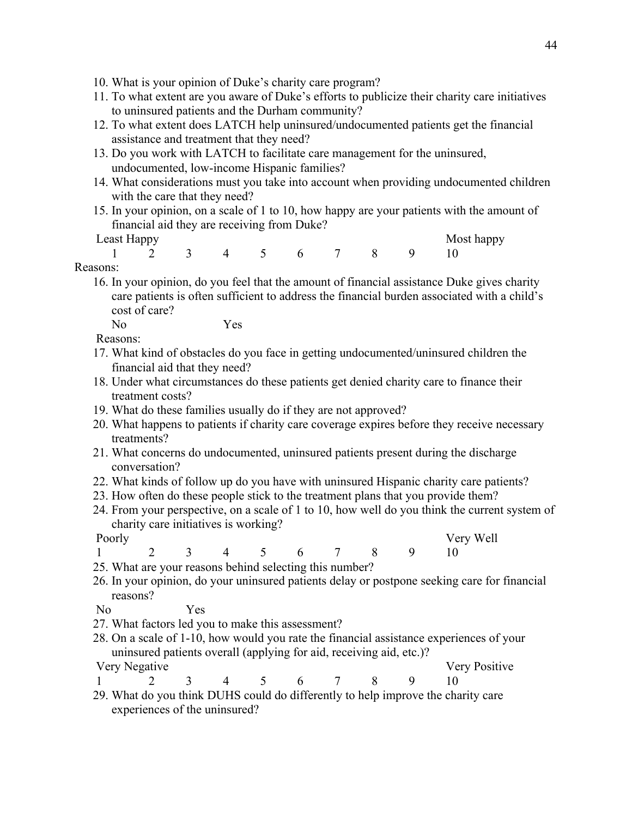- 10. What is your opinion of Duke's charity care program?
- 11. To what extent are you aware of Duke's efforts to publicize their charity care initiatives to uninsured patients and the Durham community?
- 12. To what extent does LATCH help uninsured/undocumented patients get the financial assistance and treatment that they need?
- 13. Do you work with LATCH to facilitate care management for the uninsured, undocumented, low-income Hispanic families?
- 14. What considerations must you take into account when providing undocumented children with the care that they need?
- 15. In your opinion, on a scale of 1 to 10, how happy are your patients with the amount of financial aid they are receiving from Duke?

Least Happy Most happy Most happy 1 2 3 4 5 6 7 8 9 10

# Reasons:

16. In your opinion, do you feel that the amount of financial assistance Duke gives charity care patients is often sufficient to address the financial burden associated with a child's cost of care? No Yes

Reasons:

- 
- 17. What kind of obstacles do you face in getting undocumented/uninsured children the financial aid that they need?
- 18. Under what circumstances do these patients get denied charity care to finance their treatment costs?
- 19. What do these families usually do if they are not approved?
- 20. What happens to patients if charity care coverage expires before they receive necessary treatments?
- 21. What concerns do undocumented, uninsured patients present during the discharge conversation?
- 22. What kinds of follow up do you have with uninsured Hispanic charity care patients?
- 23. How often do these people stick to the treatment plans that you provide them?
- 24. From your perspective, on a scale of 1 to 10, how well do you think the current system of charity care initiatives is working?

- Poorly **Very Well** 1 2 3 4 5 6 7 8 9 10
	-
- 25. What are your reasons behind selecting this number?
- 26. In your opinion, do your uninsured patients delay or postpone seeking care for financial reasons?

No Yes

- 27. What factors led you to make this assessment?
- 28. On a scale of 1-10, how would you rate the financial assistance experiences of your uninsured patients overall (applying for aid, receiving aid, etc.)?

Very Negative Very Positive

- 1 2 3 4 5 6 7 8 9 10
- 29. What do you think DUHS could do differently to help improve the charity care experiences of the uninsured?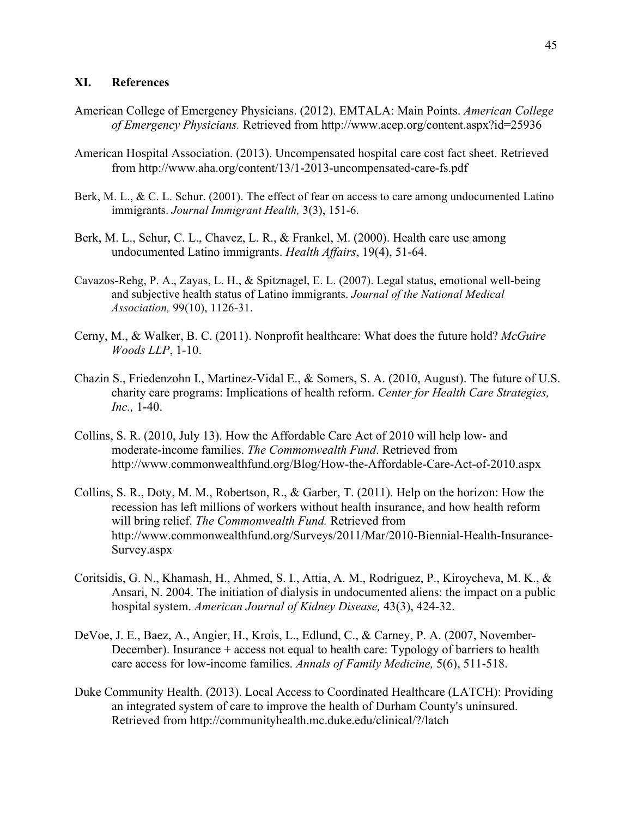# **XI. References**

- American College of Emergency Physicians. (2012). EMTALA: Main Points. *American College of Emergency Physicians.* Retrieved from http://www.acep.org/content.aspx?id=25936
- American Hospital Association. (2013). Uncompensated hospital care cost fact sheet. Retrieved from http://www.aha.org/content/13/1-2013-uncompensated-care-fs.pdf
- Berk, M. L., & C. L. Schur. (2001). The effect of fear on access to care among undocumented Latino immigrants. *Journal Immigrant Health,* 3(3), 151-6.
- Berk, M. L., Schur, C. L., Chavez, L. R., & Frankel, M. (2000). Health care use among undocumented Latino immigrants. *Health Affairs*, 19(4), 51-64.
- Cavazos-Rehg, P. A., Zayas, L. H., & Spitznagel, E. L. (2007). Legal status, emotional well-being and subjective health status of Latino immigrants. *Journal of the National Medical Association,* 99(10), 1126-31.
- Cerny, M., & Walker, B. C. (2011). Nonprofit healthcare: What does the future hold? *McGuire Woods LLP*, 1-10.
- Chazin S., Friedenzohn I., Martinez-Vidal E., & Somers, S. A. (2010, August). The future of U.S. charity care programs: Implications of health reform. *Center for Health Care Strategies, Inc.,* 1-40.
- Collins, S. R. (2010, July 13). How the Affordable Care Act of 2010 will help low- and moderate-income families. *The Commonwealth Fund*. Retrieved from http://www.commonwealthfund.org/Blog/How-the-Affordable-Care-Act-of-2010.aspx
- Collins, S. R., Doty, M. M., Robertson, R., & Garber, T. (2011). Help on the horizon: How the recession has left millions of workers without health insurance, and how health reform will bring relief. *The Commonwealth Fund.* Retrieved from http://www.commonwealthfund.org/Surveys/2011/Mar/2010-Biennial-Health-Insurance-Survey.aspx
- Coritsidis, G. N., Khamash, H., Ahmed, S. I., Attia, A. M., Rodriguez, P., Kiroycheva, M. K., & Ansari, N. 2004. The initiation of dialysis in undocumented aliens: the impact on a public hospital system. *American Journal of Kidney Disease,* 43(3), 424-32.
- DeVoe, J. E., Baez, A., Angier, H., Krois, L., Edlund, C., & Carney, P. A. (2007, November-December). Insurance + access not equal to health care: Typology of barriers to health care access for low-income families. *Annals of Family Medicine,* 5(6), 511-518.
- Duke Community Health. (2013). Local Access to Coordinated Healthcare (LATCH): Providing an integrated system of care to improve the health of Durham County's uninsured. Retrieved from http://communityhealth.mc.duke.edu/clinical/?/latch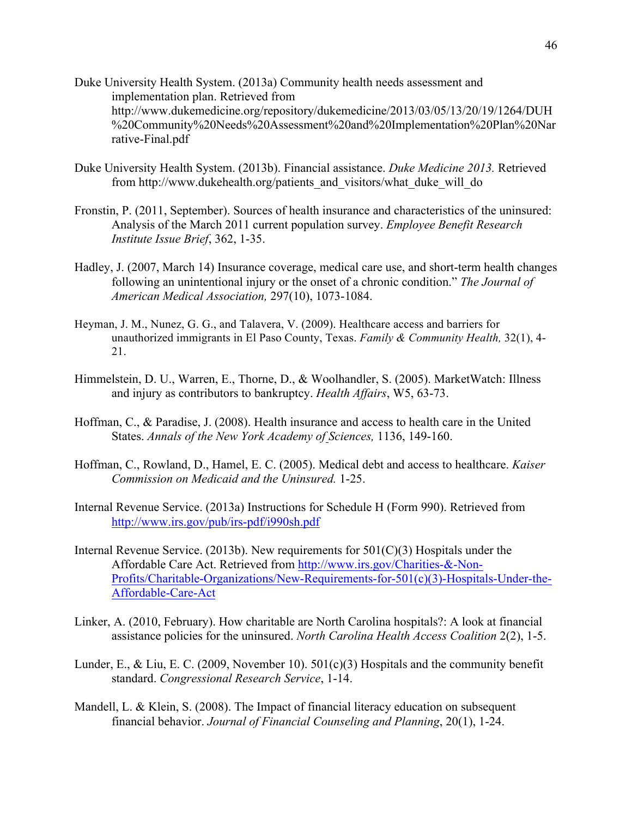- Duke University Health System. (2013a) Community health needs assessment and implementation plan. Retrieved from http://www.dukemedicine.org/repository/dukemedicine/2013/03/05/13/20/19/1264/DUH %20Community%20Needs%20Assessment%20and%20Implementation%20Plan%20Nar rative-Final.pdf
- Duke University Health System. (2013b). Financial assistance. *Duke Medicine 2013.* Retrieved from http://www.dukehealth.org/patients\_and\_visitors/what\_duke\_will\_do
- Fronstin, P. (2011, September). Sources of health insurance and characteristics of the uninsured: Analysis of the March 2011 current population survey. *Employee Benefit Research Institute Issue Brief*, 362, 1-35.
- Hadley, J. (2007, March 14) Insurance coverage, medical care use, and short-term health changes following an unintentional injury or the onset of a chronic condition." *The Journal of American Medical Association,* 297(10), 1073-1084.
- Heyman, J. M., Nunez, G. G., and Talavera, V. (2009). Healthcare access and barriers for unauthorized immigrants in El Paso County, Texas. *Family & Community Health,* 32(1), 4- 21.
- Himmelstein, D. U., Warren, E., Thorne, D., & Woolhandler, S. (2005). MarketWatch: Illness and injury as contributors to bankruptcy. *Health Affairs*, W5, 63-73.
- Hoffman, C., & Paradise, J. (2008). Health insurance and access to health care in the United States. *Annals of the New York Academy of Sciences,* 1136, 149-160.
- Hoffman, C., Rowland, D., Hamel, E. C. (2005). Medical debt and access to healthcare. *Kaiser Commission on Medicaid and the Uninsured.* 1-25.
- Internal Revenue Service. (2013a) Instructions for Schedule H (Form 990). Retrieved from http://www.irs.gov/pub/irs-pdf/i990sh.pdf
- Internal Revenue Service. (2013b). New requirements for  $501(C)(3)$  Hospitals under the Affordable Care Act. Retrieved from http://www.irs.gov/Charities-&-Non-Profits/Charitable-Organizations/New-Requirements-for-501(c)(3)-Hospitals-Under-the-Affordable-Care-Act
- Linker, A. (2010, February). How charitable are North Carolina hospitals?: A look at financial assistance policies for the uninsured. *North Carolina Health Access Coalition* 2(2), 1-5.
- Lunder, E., & Liu, E. C. (2009, November 10).  $501(c)(3)$  Hospitals and the community benefit standard. *Congressional Research Service*, 1-14.
- Mandell, L. & Klein, S. (2008). The Impact of financial literacy education on subsequent financial behavior. *Journal of Financial Counseling and Planning*, 20(1), 1-24.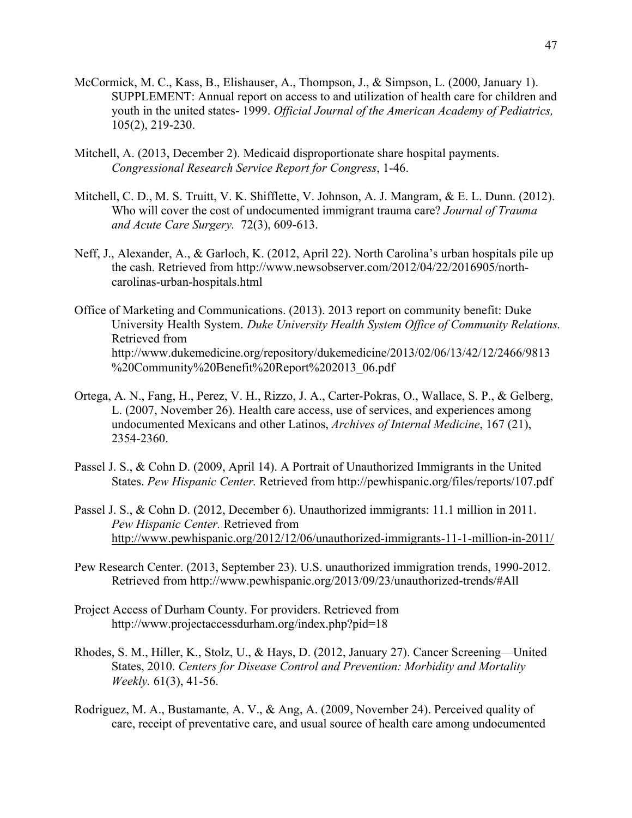- McCormick, M. C., Kass, B., Elishauser, A., Thompson, J., & Simpson, L. (2000, January 1). SUPPLEMENT: Annual report on access to and utilization of health care for children and youth in the united states- 1999. *Official Journal of the American Academy of Pediatrics,* 105(2), 219-230.
- Mitchell, A. (2013, December 2). Medicaid disproportionate share hospital payments. *Congressional Research Service Report for Congress*, 1-46.
- Mitchell, C. D., M. S. Truitt, V. K. Shifflette, V. Johnson, A. J. Mangram, & E. L. Dunn. (2012). Who will cover the cost of undocumented immigrant trauma care? *Journal of Trauma and Acute Care Surgery.* 72(3), 609-613.
- Neff, J., Alexander, A., & Garloch, K. (2012, April 22). North Carolina's urban hospitals pile up the cash. Retrieved from http://www.newsobserver.com/2012/04/22/2016905/northcarolinas-urban-hospitals.html
- Office of Marketing and Communications. (2013). 2013 report on community benefit: Duke University Health System. *Duke University Health System Office of Community Relations.* Retrieved from http://www.dukemedicine.org/repository/dukemedicine/2013/02/06/13/42/12/2466/9813 %20Community%20Benefit%20Report%202013\_06.pdf
- Ortega, A. N., Fang, H., Perez, V. H., Rizzo, J. A., Carter-Pokras, O., Wallace, S. P., & Gelberg, L. (2007, November 26). Health care access, use of services, and experiences among undocumented Mexicans and other Latinos, *Archives of Internal Medicine*, 167 (21), 2354-2360.
- Passel J. S., & Cohn D. (2009, April 14). A Portrait of Unauthorized Immigrants in the United States. *Pew Hispanic Center.* Retrieved from http://pewhispanic.org/files/reports/107.pdf
- Passel J. S., & Cohn D. (2012, December 6). Unauthorized immigrants: 11.1 million in 2011. *Pew Hispanic Center.* Retrieved from http://www.pewhispanic.org/2012/12/06/unauthorized-immigrants-11-1-million-in-2011/
- Pew Research Center. (2013, September 23). U.S. unauthorized immigration trends, 1990-2012. Retrieved from http://www.pewhispanic.org/2013/09/23/unauthorized-trends/#All
- Project Access of Durham County. For providers. Retrieved from http://www.projectaccessdurham.org/index.php?pid=18
- Rhodes, S. M., Hiller, K., Stolz, U., & Hays, D. (2012, January 27). Cancer Screening—United States, 2010. *Centers for Disease Control and Prevention: Morbidity and Mortality Weekly.* 61(3), 41-56.
- Rodriguez, M. A., Bustamante, A. V., & Ang, A. (2009, November 24). Perceived quality of care, receipt of preventative care, and usual source of health care among undocumented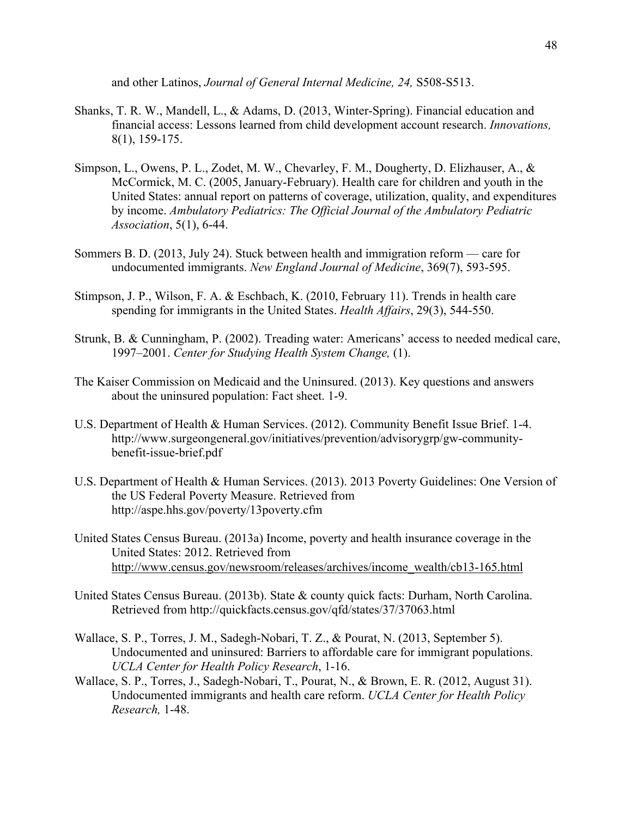and other Latinos, *Journal of General Internal Medicine, 24,* S508-S513.

- Shanks, T. R. W., Mandell, L., & Adams, D. (2013, Winter-Spring). Financial education and financial access: Lessons learned from child development account research. *Innovations,*  8(1), 159-175.
- Simpson, L., Owens, P. L., Zodet, M. W., Chevarley, F. M., Dougherty, D. Elizhauser, A., & McCormick, M. C. (2005, January-February). Health care for children and youth in the United States: annual report on patterns of coverage, utilization, quality, and expenditures by income. *Ambulatory Pediatrics: The Official Journal of the Ambulatory Pediatric Association*, 5(1), 6-44.
- Sommers B. D. (2013, July 24). Stuck between health and immigration reform care for undocumented immigrants. *New England Journal of Medicine*, 369(7), 593-595.
- Stimpson, J. P., Wilson, F. A. & Eschbach, K. (2010, February 11). Trends in health care spending for immigrants in the United States. *Health Affairs*, 29(3), 544-550.
- Strunk, B. & Cunningham, P. (2002). Treading water: Americans' access to needed medical care, 1997–2001. *Center for Studying Health System Change,* (1).
- The Kaiser Commission on Medicaid and the Uninsured. (2013). Key questions and answers about the uninsured population: Fact sheet. 1-9.
- U.S. Department of Health & Human Services. (2012). Community Benefit Issue Brief. 1-4. http://www.surgeongeneral.gov/initiatives/prevention/advisorygrp/gw-communitybenefit-issue-brief.pdf
- U.S. Department of Health & Human Services. (2013). 2013 Poverty Guidelines: One Version of the US Federal Poverty Measure. Retrieved from http://aspe.hhs.gov/poverty/13poverty.cfm
- United States Census Bureau. (2013a) Income, poverty and health insurance coverage in the United States: 2012. Retrieved from http://www.census.gov/newsroom/releases/archives/income\_wealth/cb13-165.html
- United States Census Bureau. (2013b). State & county quick facts: Durham, North Carolina. Retrieved from http://quickfacts.census.gov/qfd/states/37/37063.html
- Wallace, S. P., Torres, J. M., Sadegh-Nobari, T. Z., & Pourat, N. (2013, September 5). Undocumented and uninsured: Barriers to affordable care for immigrant populations. *UCLA Center for Health Policy Research*, 1-16.
- Wallace, S. P., Torres, J., Sadegh-Nobari, T., Pourat, N., & Brown, E. R. (2012, August 31). Undocumented immigrants and health care reform. *UCLA Center for Health Policy Research,* 1-48.